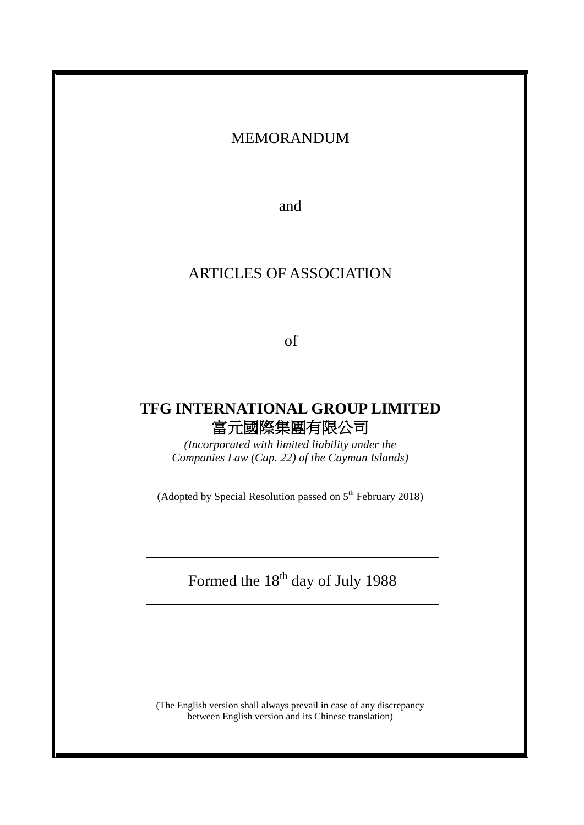# MEMORANDUM

and

## ARTICLES OF ASSOCIATION

of

# **TFG INTERNATIONAL GROUP LIMITED** 富元國際集團有限公司

*(Incorporated with limited liability under the Companies Law (Cap. 22) of the Cayman Islands)*

(Adopted by Special Resolution passed on  $5<sup>th</sup>$  February 2018)

Formed the 18<sup>th</sup> day of July 1988

(The English version shall always prevail in case of any discrepancy between English version and its Chinese translation)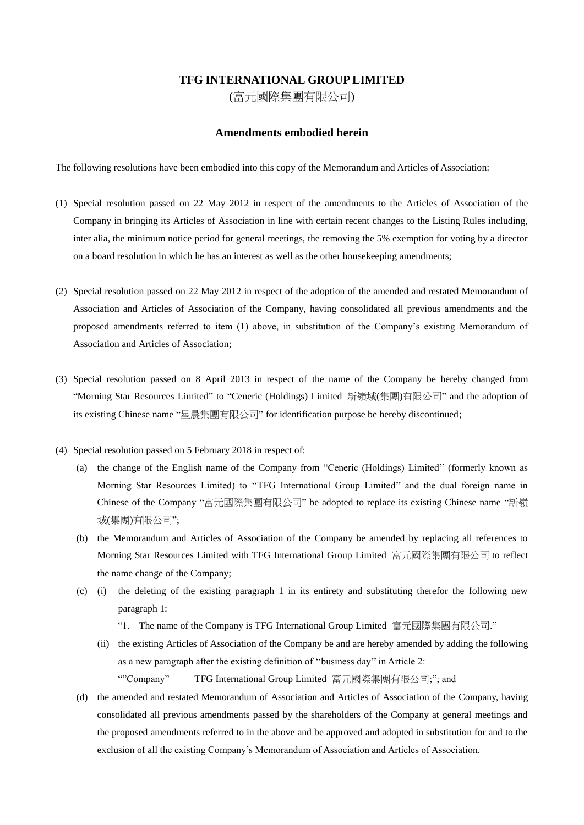#### **TFG INTERNATIONAL GROUP LIMITED**

(富元國際集團有限公司)

#### **Amendments embodied herein**

The following resolutions have been embodied into this copy of the Memorandum and Articles of Association:

- (1) Special resolution passed on 22 May 2012 in respect of the amendments to the Articles of Association of the Company in bringing its Articles of Association in line with certain recent changes to the Listing Rules including, inter alia, the minimum notice period for general meetings, the removing the 5% exemption for voting by a director on a board resolution in which he has an interest as well as the other housekeeping amendments;
- (2) Special resolution passed on 22 May 2012 in respect of the adoption of the amended and restated Memorandum of Association and Articles of Association of the Company, having consolidated all previous amendments and the proposed amendments referred to item (1) above, in substitution of the Company's existing Memorandum of Association and Articles of Association;
- (3) Special resolution passed on 8 April 2013 in respect of the name of the Company be hereby changed from "Morning Star Resources Limited" to "Ceneric (Holdings) Limited 新嶺域(集團)有限公司" and the adoption of its existing Chinese name "星晨集團有限公司" for identification purpose be hereby discontinued;
- (4) Special resolution passed on 5 February 2018 in respect of:
	- (a) the change of the English name of the Company from "Ceneric (Holdings) Limited'' (formerly known as Morning Star Resources Limited) to ''TFG International Group Limited'' and the dual foreign name in Chinese of the Company "富元國際集團有限公司" be adopted to replace its existing Chinese name "新嶺 域(集團)有限公司";
	- (b) the Memorandum and Articles of Association of the Company be amended by replacing all references to Morning Star Resources Limited with TFG International Group Limited 富元國際集團有限公司 to reflect the name change of the Company;
	- (c) (i) the deleting of the existing paragraph 1 in its entirety and substituting therefor the following new paragraph 1:
		- "1. The name of the Company is TFG International Group Limited 富元國際集團有限公司."
		- (ii) the existing Articles of Association of the Company be and are hereby amended by adding the following as a new paragraph after the existing definition of ''business day'' in Article 2: ""Company" TFG International Group Limited 富元國際集團有限公司;"; and
	- (d) the amended and restated Memorandum of Association and Articles of Association of the Company, having consolidated all previous amendments passed by the shareholders of the Company at general meetings and the proposed amendments referred to in the above and be approved and adopted in substitution for and to the exclusion of all the existing Company's Memorandum of Association and Articles of Association.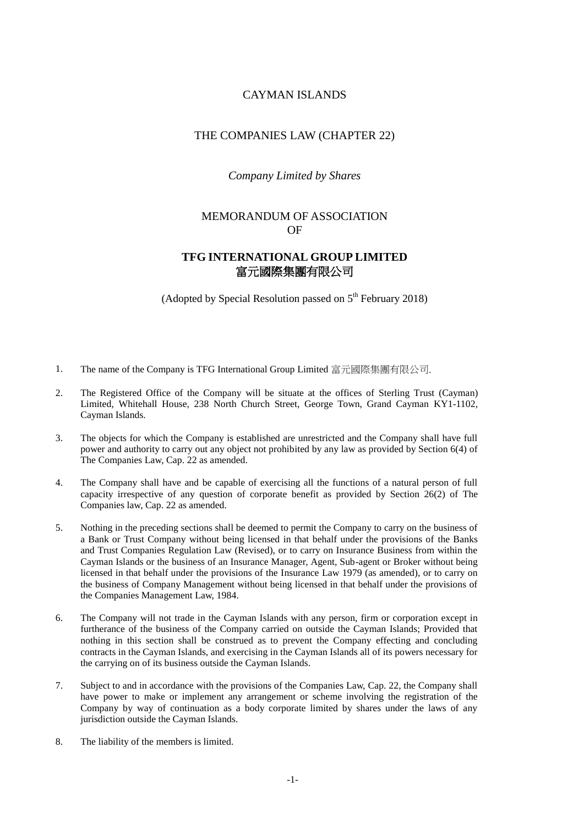## CAYMAN ISLANDS

## THE COMPANIES LAW (CHAPTER 22)

#### *Company Limited by Shares*

## MEMORANDUM OF ASSOCIATION OF

## **TFG INTERNATIONAL GROUP LIMITED** 富元國際集團有限公司

(Adopted by Special Resolution passed on  $5<sup>th</sup>$  February 2018)

- 1. The name of the Company is TFG International Group Limited 富元國際集團有限公司.
- 2. The Registered Office of the Company will be situate at the offices of Sterling Trust (Cayman) Limited, Whitehall House, 238 North Church Street, George Town, Grand Cayman KY1-1102, Cayman Islands.
- 3. The objects for which the Company is established are unrestricted and the Company shall have full power and authority to carry out any object not prohibited by any law as provided by Section 6(4) of The Companies Law, Cap. 22 as amended.
- 4. The Company shall have and be capable of exercising all the functions of a natural person of full capacity irrespective of any question of corporate benefit as provided by Section 26(2) of The Companies law, Cap. 22 as amended.
- 5. Nothing in the preceding sections shall be deemed to permit the Company to carry on the business of a Bank or Trust Company without being licensed in that behalf under the provisions of the Banks and Trust Companies Regulation Law (Revised), or to carry on Insurance Business from within the Cayman Islands or the business of an Insurance Manager, Agent, Sub-agent or Broker without being licensed in that behalf under the provisions of the Insurance Law 1979 (as amended), or to carry on the business of Company Management without being licensed in that behalf under the provisions of the Companies Management Law, 1984.
- 6. The Company will not trade in the Cayman Islands with any person, firm or corporation except in furtherance of the business of the Company carried on outside the Cayman Islands; Provided that nothing in this section shall be construed as to prevent the Company effecting and concluding contracts in the Cayman Islands, and exercising in the Cayman Islands all of its powers necessary for the carrying on of its business outside the Cayman Islands.
- 7. Subject to and in accordance with the provisions of the Companies Law, Cap. 22, the Company shall have power to make or implement any arrangement or scheme involving the registration of the Company by way of continuation as a body corporate limited by shares under the laws of any jurisdiction outside the Cayman Islands.
- 8. The liability of the members is limited.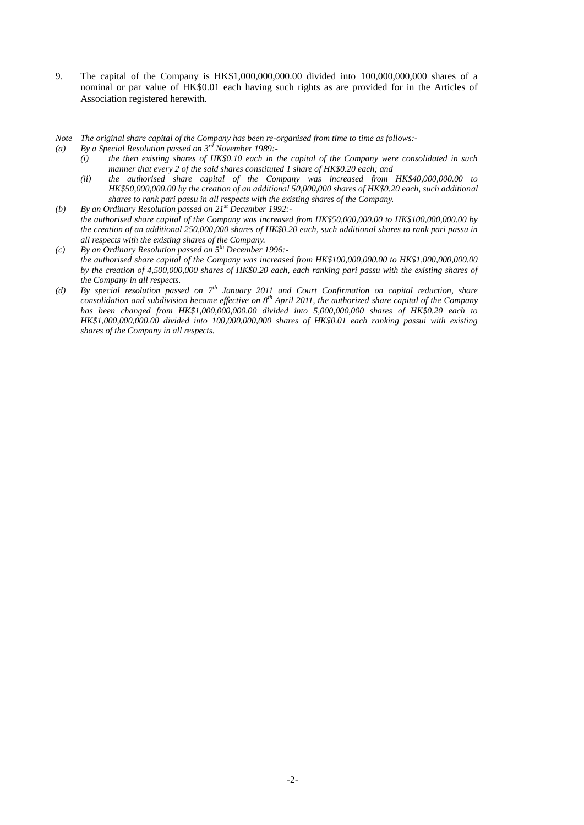- 9. The capital of the Company is HK\$1,000,000,000.00 divided into 100,000,000,000 shares of a nominal or par value of HK\$0.01 each having such rights as are provided for in the Articles of Association registered herewith.
- *Note The original share capital of the Company has been re-organised from time to time as follows:-*
- *(a) By a Special Resolution passed on 3rd November 1989:-*
	- *(i) the then existing shares of HK\$0.10 each in the capital of the Company were consolidated in such manner that every 2 of the said shares constituted 1 share of HK\$0.20 each; and*
	- *(ii) the authorised share capital of the Company was increased from HK\$40,000,000.00 to HK\$50,000,000.00 by the creation of an additional 50,000,000 shares of HK\$0.20 each, such additional shares to rank pari passu in all respects with the existing shares of the Company.*
- *(b) By an Ordinary Resolution passed on 21st December 1992: the authorised share capital of the Company was increased from HK\$50,000,000.00 to HK\$100,000,000.00 by the creation of an additional 250,000,000 shares of HK\$0.20 each, such additional shares to rank pari passu in all respects with the existing shares of the Company.*
- *(c) By an Ordinary Resolution passed on 5th December 1996: the authorised share capital of the Company was increased from HK\$100,000,000.00 to HK\$1,000,000,000.00 by the creation of 4,500,000,000 shares of HK\$0.20 each, each ranking pari passu with the existing shares of the Company in all respects.*
- *(d) By special resolution passed on 7th January 2011 and Court Confirmation on capital reduction, share consolidation and subdivision became effective on 8th April 2011, the authorized share capital of the Company has been changed from HK\$1,000,000,000.00 divided into 5,000,000,000 shares of HK\$0.20 each to HK\$1,000,000,000.00 divided into 100,000,000,000 shares of HK\$0.01 each ranking passui with existing shares of the Company in all respects.*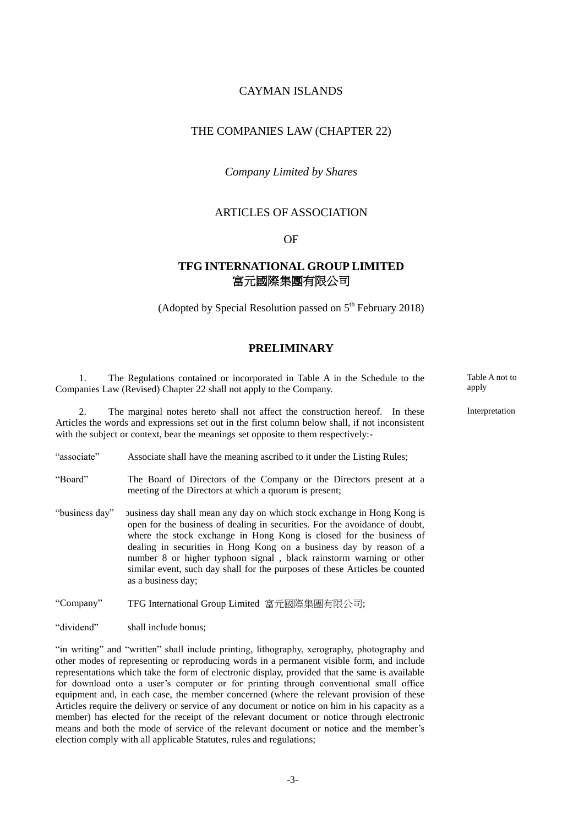#### CAYMAN ISLANDS

#### THE COMPANIES LAW (CHAPTER 22)

#### *Company Limited by Shares*

## ARTICLES OF ASSOCIATION

#### OF

## **TFG INTERNATIONAL GROUP LIMITED** 富元國際集團有限公司

(Adopted by Special Resolution passed on  $5<sup>th</sup>$  February 2018)

#### **PRELIMINARY**

1. The Regulations contained or incorporated in Table A in the Schedule to the Companies Law (Revised) Chapter 22 shall not apply to the Company.

2. The marginal notes hereto shall not affect the construction hereof. In these Articles the words and expressions set out in the first column below shall, if not inconsistent with the subject or context, bear the meanings set opposite to them respectively:-

- "associate" Associate shall have the meaning ascribed to it under the Listing Rules;
- "Board" The Board of Directors of the Company or the Directors present at a meeting of the Directors at which a quorum is present;
- "business day" business day shall mean any day on which stock exchange in Hong Kong is open for the business of dealing in securities. For the avoidance of doubt, where the stock exchange in Hong Kong is closed for the business of dealing in securities in Hong Kong on a business day by reason of a number 8 or higher typhoon signal , black rainstorm warning or other similar event, such day shall for the purposes of these Articles be counted as a business day;

"Company" TFG International Group Limited 富元國際集團有限公司;

"dividend" shall include bonus;

"in writing" and "written" shall include printing, lithography, xerography, photography and other modes of representing or reproducing words in a permanent visible form, and include representations which take the form of electronic display, provided that the same is available for download onto a user's computer or for printing through conventional small office equipment and, in each case, the member concerned (where the relevant provision of these Articles require the delivery or service of any document or notice on him in his capacity as a member) has elected for the receipt of the relevant document or notice through electronic means and both the mode of service of the relevant document or notice and the member's election comply with all applicable Statutes, rules and regulations;

Table A not to apply

Interpretation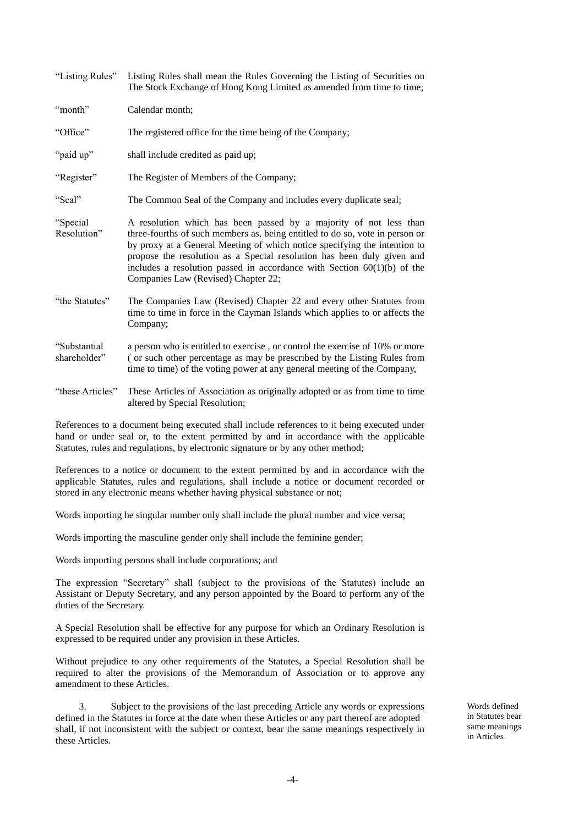| "Listing Rules"              | Listing Rules shall mean the Rules Governing the Listing of Securities on<br>The Stock Exchange of Hong Kong Limited as amended from time to time;                                                                                                                                                                                                                                                                           |  |
|------------------------------|------------------------------------------------------------------------------------------------------------------------------------------------------------------------------------------------------------------------------------------------------------------------------------------------------------------------------------------------------------------------------------------------------------------------------|--|
| "month"                      | Calendar month;                                                                                                                                                                                                                                                                                                                                                                                                              |  |
| "Office"                     | The registered office for the time being of the Company;                                                                                                                                                                                                                                                                                                                                                                     |  |
| "paid up"                    | shall include credited as paid up;                                                                                                                                                                                                                                                                                                                                                                                           |  |
| "Register"                   | The Register of Members of the Company;                                                                                                                                                                                                                                                                                                                                                                                      |  |
| "Seal"                       | The Common Seal of the Company and includes every duplicate seal;                                                                                                                                                                                                                                                                                                                                                            |  |
| "Special<br>Resolution"      | A resolution which has been passed by a majority of not less than<br>three-fourths of such members as, being entitled to do so, vote in person or<br>by proxy at a General Meeting of which notice specifying the intention to<br>propose the resolution as a Special resolution has been duly given and<br>includes a resolution passed in accordance with Section $60(1)(b)$ of the<br>Companies Law (Revised) Chapter 22; |  |
| "the Statutes"               | The Companies Law (Revised) Chapter 22 and every other Statutes from<br>time to time in force in the Cayman Islands which applies to or affects the<br>Company;                                                                                                                                                                                                                                                              |  |
| "Substantial<br>shareholder" | a person who is entitled to exercise, or control the exercise of 10% or more<br>(or such other percentage as may be prescribed by the Listing Rules from<br>time to time) of the voting power at any general meeting of the Company,                                                                                                                                                                                         |  |
| "these Articles"             | These Articles of Association as originally adopted or as from time to time                                                                                                                                                                                                                                                                                                                                                  |  |

References to a document being executed shall include references to it being executed under hand or under seal or, to the extent permitted by and in accordance with the applicable Statutes, rules and regulations, by electronic signature or by any other method;

References to a notice or document to the extent permitted by and in accordance with the applicable Statutes, rules and regulations, shall include a notice or document recorded or stored in any electronic means whether having physical substance or not;

Words importing he singular number only shall include the plural number and vice versa;

Words importing the masculine gender only shall include the feminine gender;

altered by Special Resolution;

Words importing persons shall include corporations; and

The expression "Secretary" shall (subject to the provisions of the Statutes) include an Assistant or Deputy Secretary, and any person appointed by the Board to perform any of the duties of the Secretary.

A Special Resolution shall be effective for any purpose for which an Ordinary Resolution is expressed to be required under any provision in these Articles.

Without prejudice to any other requirements of the Statutes, a Special Resolution shall be required to alter the provisions of the Memorandum of Association or to approve any amendment to these Articles.

3. Subject to the provisions of the last preceding Article any words or expressions defined in the Statutes in force at the date when these Articles or any part thereof are adopted shall, if not inconsistent with the subject or context, bear the same meanings respectively in these Articles.

Words defined in Statutes bear same meanings in Articles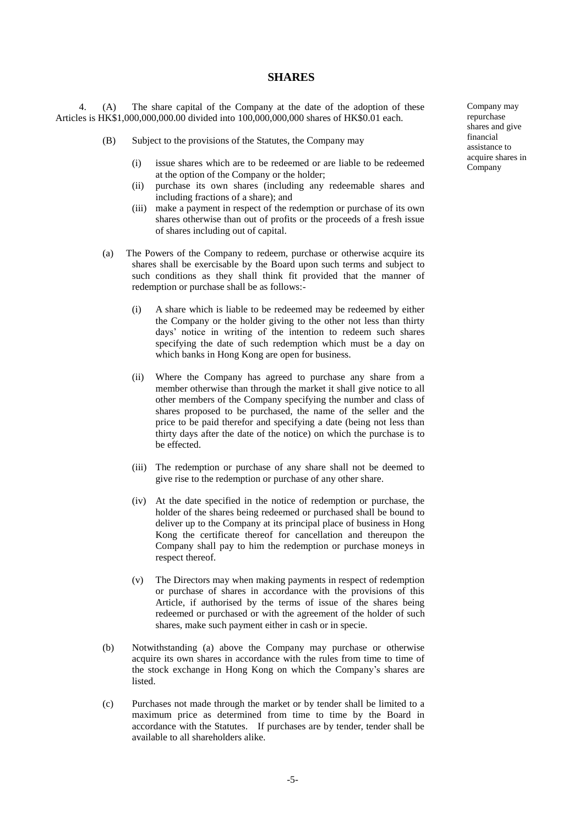#### **SHARES**

4. (A) The share capital of the Company at the date of the adoption of these Articles is HK\$1,000,000,000.00 divided into 100,000,000,000 shares of HK\$0.01 each.

- (B) Subject to the provisions of the Statutes, the Company may
	- (i) issue shares which are to be redeemed or are liable to be redeemed at the option of the Company or the holder;
	- (ii) purchase its own shares (including any redeemable shares and including fractions of a share); and
	- (iii) make a payment in respect of the redemption or purchase of its own shares otherwise than out of profits or the proceeds of a fresh issue of shares including out of capital.
- (a) The Powers of the Company to redeem, purchase or otherwise acquire its shares shall be exercisable by the Board upon such terms and subject to such conditions as they shall think fit provided that the manner of redemption or purchase shall be as follows:-
	- (i) A share which is liable to be redeemed may be redeemed by either the Company or the holder giving to the other not less than thirty days' notice in writing of the intention to redeem such shares specifying the date of such redemption which must be a day on which banks in Hong Kong are open for business.
	- (ii) Where the Company has agreed to purchase any share from a member otherwise than through the market it shall give notice to all other members of the Company specifying the number and class of shares proposed to be purchased, the name of the seller and the price to be paid therefor and specifying a date (being not less than thirty days after the date of the notice) on which the purchase is to be effected.
	- (iii) The redemption or purchase of any share shall not be deemed to give rise to the redemption or purchase of any other share.
	- (iv) At the date specified in the notice of redemption or purchase, the holder of the shares being redeemed or purchased shall be bound to deliver up to the Company at its principal place of business in Hong Kong the certificate thereof for cancellation and thereupon the Company shall pay to him the redemption or purchase moneys in respect thereof.
	- (v) The Directors may when making payments in respect of redemption or purchase of shares in accordance with the provisions of this Article, if authorised by the terms of issue of the shares being redeemed or purchased or with the agreement of the holder of such shares, make such payment either in cash or in specie.
- (b) Notwithstanding (a) above the Company may purchase or otherwise acquire its own shares in accordance with the rules from time to time of the stock exchange in Hong Kong on which the Company's shares are listed.
- (c) Purchases not made through the market or by tender shall be limited to a maximum price as determined from time to time by the Board in accordance with the Statutes. If purchases are by tender, tender shall be available to all shareholders alike.

Company may repurchase shares and give financial assistance to acquire shares in Company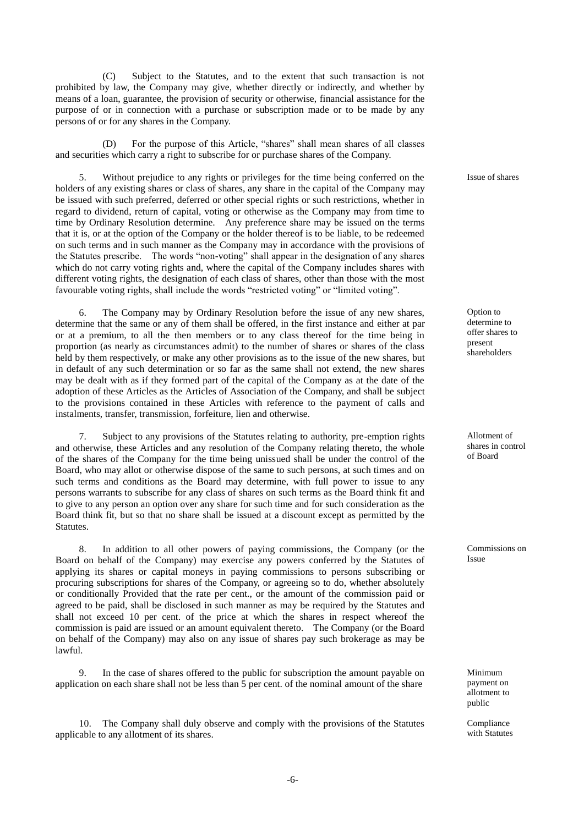(C) Subject to the Statutes, and to the extent that such transaction is not prohibited by law, the Company may give, whether directly or indirectly, and whether by means of a loan, guarantee, the provision of security or otherwise, financial assistance for the purpose of or in connection with a purchase or subscription made or to be made by any persons of or for any shares in the Company.

(D) For the purpose of this Article, "shares" shall mean shares of all classes and securities which carry a right to subscribe for or purchase shares of the Company.

5. Without prejudice to any rights or privileges for the time being conferred on the holders of any existing shares or class of shares, any share in the capital of the Company may be issued with such preferred, deferred or other special rights or such restrictions, whether in regard to dividend, return of capital, voting or otherwise as the Company may from time to time by Ordinary Resolution determine. Any preference share may be issued on the terms that it is, or at the option of the Company or the holder thereof is to be liable, to be redeemed on such terms and in such manner as the Company may in accordance with the provisions of the Statutes prescribe. The words "non-voting" shall appear in the designation of any shares which do not carry voting rights and, where the capital of the Company includes shares with different voting rights, the designation of each class of shares, other than those with the most favourable voting rights, shall include the words "restricted voting" or "limited voting".

6. The Company may by Ordinary Resolution before the issue of any new shares, determine that the same or any of them shall be offered, in the first instance and either at par or at a premium, to all the then members or to any class thereof for the time being in proportion (as nearly as circumstances admit) to the number of shares or shares of the class held by them respectively, or make any other provisions as to the issue of the new shares, but in default of any such determination or so far as the same shall not extend, the new shares may be dealt with as if they formed part of the capital of the Company as at the date of the adoption of these Articles as the Articles of Association of the Company, and shall be subject to the provisions contained in these Articles with reference to the payment of calls and instalments, transfer, transmission, forfeiture, lien and otherwise.

7. Subject to any provisions of the Statutes relating to authority, pre-emption rights and otherwise, these Articles and any resolution of the Company relating thereto, the whole of the shares of the Company for the time being unissued shall be under the control of the Board, who may allot or otherwise dispose of the same to such persons, at such times and on such terms and conditions as the Board may determine, with full power to issue to any persons warrants to subscribe for any class of shares on such terms as the Board think fit and to give to any person an option over any share for such time and for such consideration as the Board think fit, but so that no share shall be issued at a discount except as permitted by the **Statutes** 

8. In addition to all other powers of paying commissions, the Company (or the Board on behalf of the Company) may exercise any powers conferred by the Statutes of applying its shares or capital moneys in paying commissions to persons subscribing or procuring subscriptions for shares of the Company, or agreeing so to do, whether absolutely or conditionally Provided that the rate per cent., or the amount of the commission paid or agreed to be paid, shall be disclosed in such manner as may be required by the Statutes and shall not exceed 10 per cent. of the price at which the shares in respect whereof the commission is paid are issued or an amount equivalent thereto. The Company (or the Board on behalf of the Company) may also on any issue of shares pay such brokerage as may be lawful.

9. In the case of shares offered to the public for subscription the amount payable on application on each share shall not be less than 5 per cent. of the nominal amount of the share

10. The Company shall duly observe and comply with the provisions of the Statutes applicable to any allotment of its shares.

Issue of shares

Option to determine to offer shares to present shareholders

Allotment of shares in control of Board

Commissions on Issue

Minimum payment on allotment to public

Compliance with Statutes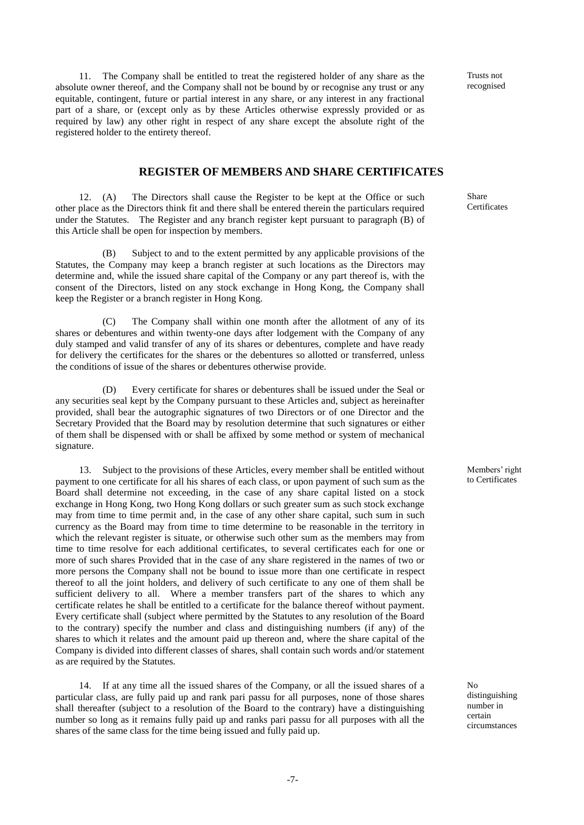11. The Company shall be entitled to treat the registered holder of any share as the absolute owner thereof, and the Company shall not be bound by or recognise any trust or any equitable, contingent, future or partial interest in any share, or any interest in any fractional part of a share, or (except only as by these Articles otherwise expressly provided or as required by law) any other right in respect of any share except the absolute right of the registered holder to the entirety thereof.

## **REGISTER OF MEMBERS AND SHARE CERTIFICATES**

12. (A) The Directors shall cause the Register to be kept at the Office or such other place as the Directors think fit and there shall be entered therein the particulars required under the Statutes. The Register and any branch register kept pursuant to paragraph (B) of this Article shall be open for inspection by members.

(B) Subject to and to the extent permitted by any applicable provisions of the Statutes, the Company may keep a branch register at such locations as the Directors may determine and, while the issued share capital of the Company or any part thereof is, with the consent of the Directors, listed on any stock exchange in Hong Kong, the Company shall keep the Register or a branch register in Hong Kong.

(C) The Company shall within one month after the allotment of any of its shares or debentures and within twenty-one days after lodgement with the Company of any duly stamped and valid transfer of any of its shares or debentures, complete and have ready for delivery the certificates for the shares or the debentures so allotted or transferred, unless the conditions of issue of the shares or debentures otherwise provide.

(D) Every certificate for shares or debentures shall be issued under the Seal or any securities seal kept by the Company pursuant to these Articles and, subject as hereinafter provided, shall bear the autographic signatures of two Directors or of one Director and the Secretary Provided that the Board may by resolution determine that such signatures or either of them shall be dispensed with or shall be affixed by some method or system of mechanical signature.

13. Subject to the provisions of these Articles, every member shall be entitled without payment to one certificate for all his shares of each class, or upon payment of such sum as the Board shall determine not exceeding, in the case of any share capital listed on a stock exchange in Hong Kong, two Hong Kong dollars or such greater sum as such stock exchange may from time to time permit and, in the case of any other share capital, such sum in such currency as the Board may from time to time determine to be reasonable in the territory in which the relevant register is situate, or otherwise such other sum as the members may from time to time resolve for each additional certificates, to several certificates each for one or more of such shares Provided that in the case of any share registered in the names of two or more persons the Company shall not be bound to issue more than one certificate in respect thereof to all the joint holders, and delivery of such certificate to any one of them shall be sufficient delivery to all. Where a member transfers part of the shares to which any certificate relates he shall be entitled to a certificate for the balance thereof without payment. Every certificate shall (subject where permitted by the Statutes to any resolution of the Board to the contrary) specify the number and class and distinguishing numbers (if any) of the shares to which it relates and the amount paid up thereon and, where the share capital of the Company is divided into different classes of shares, shall contain such words and/or statement as are required by the Statutes.

14. If at any time all the issued shares of the Company, or all the issued shares of a particular class, are fully paid up and rank pari passu for all purposes, none of those shares shall thereafter (subject to a resolution of the Board to the contrary) have a distinguishing number so long as it remains fully paid up and ranks pari passu for all purposes with all the shares of the same class for the time being issued and fully paid up.

Trusts not recognised

Share **Certificates** 

Members' right to Certificates

No distinguishing number in certain circumstances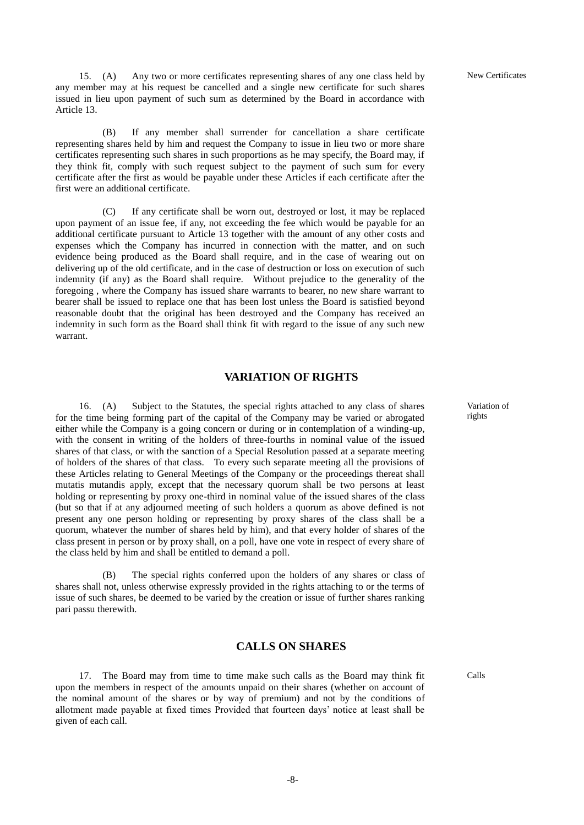15. (A) Any two or more certificates representing shares of any one class held by any member may at his request be cancelled and a single new certificate for such shares issued in lieu upon payment of such sum as determined by the Board in accordance with Article 13.

(B) If any member shall surrender for cancellation a share certificate representing shares held by him and request the Company to issue in lieu two or more share certificates representing such shares in such proportions as he may specify, the Board may, if they think fit, comply with such request subject to the payment of such sum for every certificate after the first as would be payable under these Articles if each certificate after the first were an additional certificate.

(C) If any certificate shall be worn out, destroyed or lost, it may be replaced upon payment of an issue fee, if any, not exceeding the fee which would be payable for an additional certificate pursuant to Article 13 together with the amount of any other costs and expenses which the Company has incurred in connection with the matter, and on such evidence being produced as the Board shall require, and in the case of wearing out on delivering up of the old certificate, and in the case of destruction or loss on execution of such indemnity (if any) as the Board shall require. Without prejudice to the generality of the foregoing , where the Company has issued share warrants to bearer, no new share warrant to bearer shall be issued to replace one that has been lost unless the Board is satisfied beyond reasonable doubt that the original has been destroyed and the Company has received an indemnity in such form as the Board shall think fit with regard to the issue of any such new warrant.

#### **VARIATION OF RIGHTS**

16. (A) Subject to the Statutes, the special rights attached to any class of shares for the time being forming part of the capital of the Company may be varied or abrogated either while the Company is a going concern or during or in contemplation of a winding-up, with the consent in writing of the holders of three-fourths in nominal value of the issued shares of that class, or with the sanction of a Special Resolution passed at a separate meeting of holders of the shares of that class. To every such separate meeting all the provisions of these Articles relating to General Meetings of the Company or the proceedings thereat shall mutatis mutandis apply, except that the necessary quorum shall be two persons at least holding or representing by proxy one-third in nominal value of the issued shares of the class (but so that if at any adjourned meeting of such holders a quorum as above defined is not present any one person holding or representing by proxy shares of the class shall be a quorum, whatever the number of shares held by him), and that every holder of shares of the class present in person or by proxy shall, on a poll, have one vote in respect of every share of the class held by him and shall be entitled to demand a poll.

(B) The special rights conferred upon the holders of any shares or class of shares shall not, unless otherwise expressly provided in the rights attaching to or the terms of issue of such shares, be deemed to be varied by the creation or issue of further shares ranking pari passu therewith.

#### **CALLS ON SHARES**

17. The Board may from time to time make such calls as the Board may think fit upon the members in respect of the amounts unpaid on their shares (whether on account of the nominal amount of the shares or by way of premium) and not by the conditions of allotment made payable at fixed times Provided that fourteen days' notice at least shall be given of each call.

#### Variation of rights

Calls

New Certificates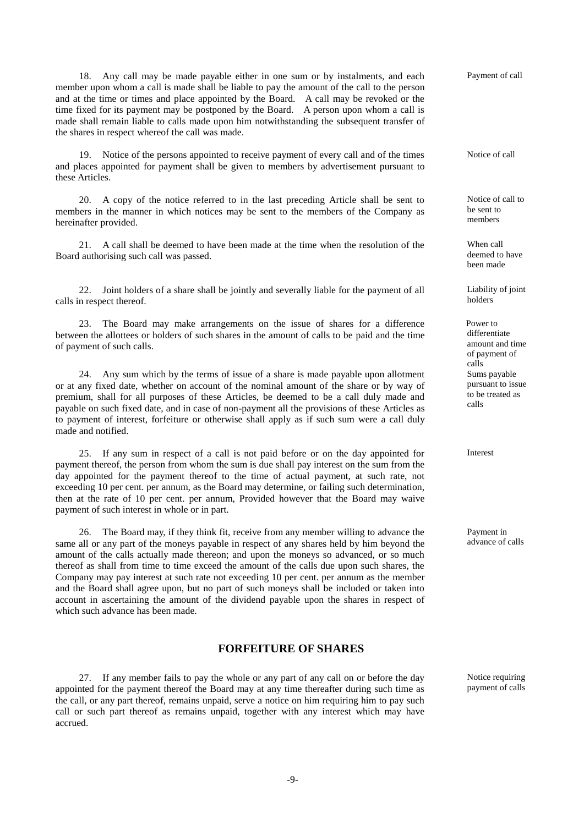18. Any call may be made payable either in one sum or by instalments, and each member upon whom a call is made shall be liable to pay the amount of the call to the person and at the time or times and place appointed by the Board. A call may be revoked or the time fixed for its payment may be postponed by the Board. A person upon whom a call is made shall remain liable to calls made upon him notwithstanding the subsequent transfer of the shares in respect whereof the call was made.

19. Notice of the persons appointed to receive payment of every call and of the times and places appointed for payment shall be given to members by advertisement pursuant to these Articles.

20. A copy of the notice referred to in the last preceding Article shall be sent to members in the manner in which notices may be sent to the members of the Company as hereinafter provided.

21. A call shall be deemed to have been made at the time when the resolution of the Board authorising such call was passed.

22. Joint holders of a share shall be jointly and severally liable for the payment of all calls in respect thereof.

23. The Board may make arrangements on the issue of shares for a difference between the allottees or holders of such shares in the amount of calls to be paid and the time of payment of such calls.

24. Any sum which by the terms of issue of a share is made payable upon allotment or at any fixed date, whether on account of the nominal amount of the share or by way of premium, shall for all purposes of these Articles, be deemed to be a call duly made and payable on such fixed date, and in case of non-payment all the provisions of these Articles as to payment of interest, forfeiture or otherwise shall apply as if such sum were a call duly made and notified.

25. If any sum in respect of a call is not paid before or on the day appointed for payment thereof, the person from whom the sum is due shall pay interest on the sum from the day appointed for the payment thereof to the time of actual payment, at such rate, not exceeding 10 per cent. per annum, as the Board may determine, or failing such determination, then at the rate of 10 per cent. per annum, Provided however that the Board may waive payment of such interest in whole or in part.

26. The Board may, if they think fit, receive from any member willing to advance the same all or any part of the moneys payable in respect of any shares held by him beyond the amount of the calls actually made thereon; and upon the moneys so advanced, or so much thereof as shall from time to time exceed the amount of the calls due upon such shares, the Company may pay interest at such rate not exceeding 10 per cent. per annum as the member and the Board shall agree upon, but no part of such moneys shall be included or taken into account in ascertaining the amount of the dividend payable upon the shares in respect of which such advance has been made.

## **FORFEITURE OF SHARES**

27. If any member fails to pay the whole or any part of any call on or before the day appointed for the payment thereof the Board may at any time thereafter during such time as the call, or any part thereof, remains unpaid, serve a notice on him requiring him to pay such call or such part thereof as remains unpaid, together with any interest which may have accrued.

Payment of call

Notice of call

Notice of call to be sent to members

When call deemed to have been made

Liability of joint holders

Power to differentiate amount and time of payment of calls Sums payable pursuant to issue to be treated as calls

Interest

Payment in advance of calls

Notice requiring payment of calls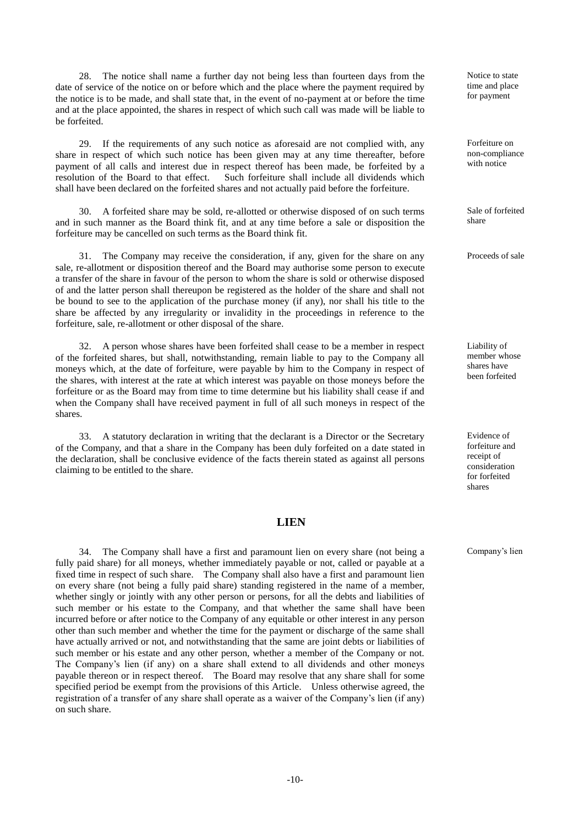28. The notice shall name a further day not being less than fourteen days from the date of service of the notice on or before which and the place where the payment required by the notice is to be made, and shall state that, in the event of no-payment at or before the time and at the place appointed, the shares in respect of which such call was made will be liable to be forfeited.

29. If the requirements of any such notice as aforesaid are not complied with, any share in respect of which such notice has been given may at any time thereafter, before payment of all calls and interest due in respect thereof has been made, be forfeited by a resolution of the Board to that effect. Such forfeiture shall include all dividends which Such forfeiture shall include all dividends which shall have been declared on the forfeited shares and not actually paid before the forfeiture.

30. A forfeited share may be sold, re-allotted or otherwise disposed of on such terms and in such manner as the Board think fit, and at any time before a sale or disposition the forfeiture may be cancelled on such terms as the Board think fit.

31. The Company may receive the consideration, if any, given for the share on any sale, re-allotment or disposition thereof and the Board may authorise some person to execute a transfer of the share in favour of the person to whom the share is sold or otherwise disposed of and the latter person shall thereupon be registered as the holder of the share and shall not be bound to see to the application of the purchase money (if any), nor shall his title to the share be affected by any irregularity or invalidity in the proceedings in reference to the forfeiture, sale, re-allotment or other disposal of the share.

32. A person whose shares have been forfeited shall cease to be a member in respect of the forfeited shares, but shall, notwithstanding, remain liable to pay to the Company all moneys which, at the date of forfeiture, were payable by him to the Company in respect of the shares, with interest at the rate at which interest was payable on those moneys before the forfeiture or as the Board may from time to time determine but his liability shall cease if and when the Company shall have received payment in full of all such moneys in respect of the shares.

33. A statutory declaration in writing that the declarant is a Director or the Secretary of the Company, and that a share in the Company has been duly forfeited on a date stated in the declaration, shall be conclusive evidence of the facts therein stated as against all persons claiming to be entitled to the share.

#### **LIEN**

34. The Company shall have a first and paramount lien on every share (not being a fully paid share) for all moneys, whether immediately payable or not, called or payable at a fixed time in respect of such share. The Company shall also have a first and paramount lien on every share (not being a fully paid share) standing registered in the name of a member, whether singly or jointly with any other person or persons, for all the debts and liabilities of such member or his estate to the Company, and that whether the same shall have been incurred before or after notice to the Company of any equitable or other interest in any person other than such member and whether the time for the payment or discharge of the same shall have actually arrived or not, and notwithstanding that the same are joint debts or liabilities of such member or his estate and any other person, whether a member of the Company or not. The Company's lien (if any) on a share shall extend to all dividends and other moneys payable thereon or in respect thereof. The Board may resolve that any share shall for some specified period be exempt from the provisions of this Article. Unless otherwise agreed, the registration of a transfer of any share shall operate as a waiver of the Company's lien (if any) on such share.

Notice to state time and place for payment

Forfeiture on non-compliance with notice

Sale of forfeited share

Proceeds of sale

Liability of member whose shares have been forfeited

Evidence of forfeiture and receipt of consideration for forfeited shares

Company's lien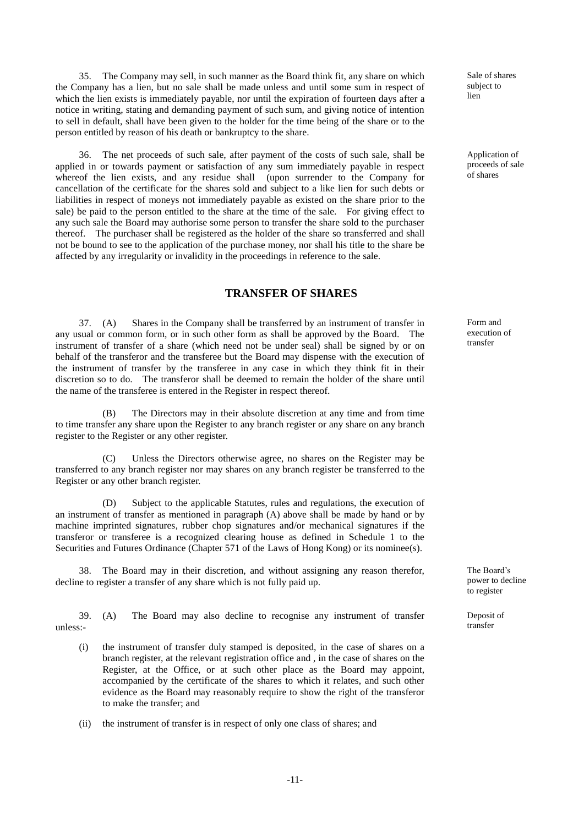35. The Company may sell, in such manner as the Board think fit, any share on which the Company has a lien, but no sale shall be made unless and until some sum in respect of which the lien exists is immediately payable, nor until the expiration of fourteen days after a notice in writing, stating and demanding payment of such sum, and giving notice of intention to sell in default, shall have been given to the holder for the time being of the share or to the person entitled by reason of his death or bankruptcy to the share.

36. The net proceeds of such sale, after payment of the costs of such sale, shall be applied in or towards payment or satisfaction of any sum immediately payable in respect whereof the lien exists, and any residue shall (upon surrender to the Company for cancellation of the certificate for the shares sold and subject to a like lien for such debts or liabilities in respect of moneys not immediately payable as existed on the share prior to the sale) be paid to the person entitled to the share at the time of the sale. For giving effect to any such sale the Board may authorise some person to transfer the share sold to the purchaser thereof. The purchaser shall be registered as the holder of the share so transferred and shall not be bound to see to the application of the purchase money, nor shall his title to the share be affected by any irregularity or invalidity in the proceedings in reference to the sale.

#### **TRANSFER OF SHARES**

37. (A) Shares in the Company shall be transferred by an instrument of transfer in any usual or common form, or in such other form as shall be approved by the Board. The instrument of transfer of a share (which need not be under seal) shall be signed by or on behalf of the transferor and the transferee but the Board may dispense with the execution of the instrument of transfer by the transferee in any case in which they think fit in their discretion so to do. The transferor shall be deemed to remain the holder of the share until the name of the transferee is entered in the Register in respect thereof.

(B) The Directors may in their absolute discretion at any time and from time to time transfer any share upon the Register to any branch register or any share on any branch register to the Register or any other register.

(C) Unless the Directors otherwise agree, no shares on the Register may be transferred to any branch register nor may shares on any branch register be transferred to the Register or any other branch register.

 (D) Subject to the applicable Statutes, rules and regulations, the execution of an instrument of transfer as mentioned in paragraph (A) above shall be made by hand or by machine imprinted signatures, rubber chop signatures and/or mechanical signatures if the transferor or transferee is a recognized clearing house as defined in Schedule 1 to the Securities and Futures Ordinance (Chapter 571 of the Laws of Hong Kong) or its nominee(s).

38. The Board may in their discretion, and without assigning any reason therefor, decline to register a transfer of any share which is not fully paid up.

39. (A) The Board may also decline to recognise any instrument of transfer unless:-

(i) the instrument of transfer duly stamped is deposited, in the case of shares on a branch register, at the relevant registration office and , in the case of shares on the Register, at the Office, or at such other place as the Board may appoint, accompanied by the certificate of the shares to which it relates, and such other evidence as the Board may reasonably require to show the right of the transferor to make the transfer; and

(ii) the instrument of transfer is in respect of only one class of shares; and

Sale of shares subject to lien

Application of proceeds of sale of shares

Form and execution of transfer

The Board's power to decline to register

Deposit of transfer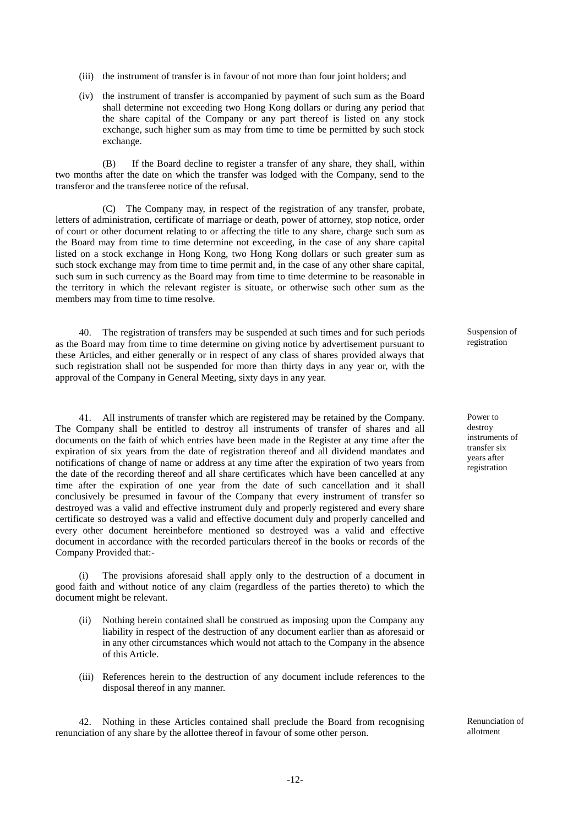- (iii) the instrument of transfer is in favour of not more than four joint holders; and
- (iv) the instrument of transfer is accompanied by payment of such sum as the Board shall determine not exceeding two Hong Kong dollars or during any period that the share capital of the Company or any part thereof is listed on any stock exchange, such higher sum as may from time to time be permitted by such stock exchange.

(B) If the Board decline to register a transfer of any share, they shall, within two months after the date on which the transfer was lodged with the Company, send to the transferor and the transferee notice of the refusal.

(C) The Company may, in respect of the registration of any transfer, probate, letters of administration, certificate of marriage or death, power of attorney, stop notice, order of court or other document relating to or affecting the title to any share, charge such sum as the Board may from time to time determine not exceeding, in the case of any share capital listed on a stock exchange in Hong Kong, two Hong Kong dollars or such greater sum as such stock exchange may from time to time permit and, in the case of any other share capital, such sum in such currency as the Board may from time to time determine to be reasonable in the territory in which the relevant register is situate, or otherwise such other sum as the members may from time to time resolve.

40. The registration of transfers may be suspended at such times and for such periods as the Board may from time to time determine on giving notice by advertisement pursuant to these Articles, and either generally or in respect of any class of shares provided always that such registration shall not be suspended for more than thirty days in any year or, with the approval of the Company in General Meeting, sixty days in any year.

41. All instruments of transfer which are registered may be retained by the Company. The Company shall be entitled to destroy all instruments of transfer of shares and all documents on the faith of which entries have been made in the Register at any time after the expiration of six years from the date of registration thereof and all dividend mandates and notifications of change of name or address at any time after the expiration of two years from the date of the recording thereof and all share certificates which have been cancelled at any time after the expiration of one year from the date of such cancellation and it shall conclusively be presumed in favour of the Company that every instrument of transfer so destroyed was a valid and effective instrument duly and properly registered and every share certificate so destroyed was a valid and effective document duly and properly cancelled and every other document hereinbefore mentioned so destroyed was a valid and effective document in accordance with the recorded particulars thereof in the books or records of the Company Provided that:-

(i) The provisions aforesaid shall apply only to the destruction of a document in good faith and without notice of any claim (regardless of the parties thereto) to which the document might be relevant.

- (ii) Nothing herein contained shall be construed as imposing upon the Company any liability in respect of the destruction of any document earlier than as aforesaid or in any other circumstances which would not attach to the Company in the absence of this Article.
- (iii) References herein to the destruction of any document include references to the disposal thereof in any manner.

42. Nothing in these Articles contained shall preclude the Board from recognising renunciation of any share by the allottee thereof in favour of some other person.

Suspension of registration

Power to destroy instruments of transfer six years after registration

Renunciation of allotment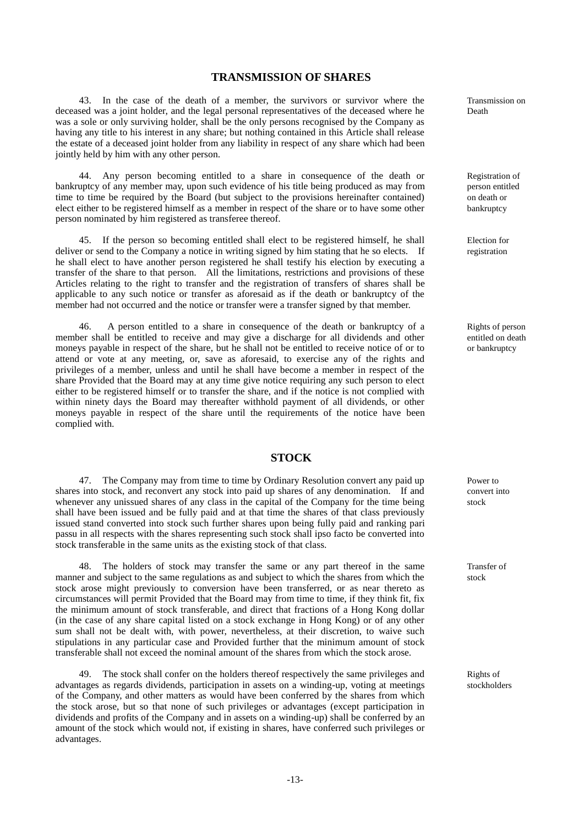#### **TRANSMISSION OF SHARES**

43. In the case of the death of a member, the survivors or survivor where the deceased was a joint holder, and the legal personal representatives of the deceased where he was a sole or only surviving holder, shall be the only persons recognised by the Company as having any title to his interest in any share; but nothing contained in this Article shall release the estate of a deceased joint holder from any liability in respect of any share which had been jointly held by him with any other person.

44. Any person becoming entitled to a share in consequence of the death or bankruptcy of any member may, upon such evidence of his title being produced as may from time to time be required by the Board (but subject to the provisions hereinafter contained) elect either to be registered himself as a member in respect of the share or to have some other person nominated by him registered as transferee thereof.

45. If the person so becoming entitled shall elect to be registered himself, he shall deliver or send to the Company a notice in writing signed by him stating that he so elects. If he shall elect to have another person registered he shall testify his election by executing a transfer of the share to that person. All the limitations, restrictions and provisions of these Articles relating to the right to transfer and the registration of transfers of shares shall be applicable to any such notice or transfer as aforesaid as if the death or bankruptcy of the member had not occurred and the notice or transfer were a transfer signed by that member.

46. A person entitled to a share in consequence of the death or bankruptcy of a member shall be entitled to receive and may give a discharge for all dividends and other moneys payable in respect of the share, but he shall not be entitled to receive notice of or to attend or vote at any meeting, or, save as aforesaid, to exercise any of the rights and privileges of a member, unless and until he shall have become a member in respect of the share Provided that the Board may at any time give notice requiring any such person to elect either to be registered himself or to transfer the share, and if the notice is not complied with within ninety days the Board may thereafter withhold payment of all dividends, or other moneys payable in respect of the share until the requirements of the notice have been complied with.

#### **STOCK**

47. The Company may from time to time by Ordinary Resolution convert any paid up shares into stock, and reconvert any stock into paid up shares of any denomination. If and whenever any unissued shares of any class in the capital of the Company for the time being shall have been issued and be fully paid and at that time the shares of that class previously issued stand converted into stock such further shares upon being fully paid and ranking pari passu in all respects with the shares representing such stock shall ipso facto be converted into stock transferable in the same units as the existing stock of that class.

48. The holders of stock may transfer the same or any part thereof in the same manner and subject to the same regulations as and subject to which the shares from which the stock arose might previously to conversion have been transferred, or as near thereto as circumstances will permit Provided that the Board may from time to time, if they think fit, fix the minimum amount of stock transferable, and direct that fractions of a Hong Kong dollar (in the case of any share capital listed on a stock exchange in Hong Kong) or of any other sum shall not be dealt with, with power, nevertheless, at their discretion, to waive such stipulations in any particular case and Provided further that the minimum amount of stock transferable shall not exceed the nominal amount of the shares from which the stock arose.

49. The stock shall confer on the holders thereof respectively the same privileges and advantages as regards dividends, participation in assets on a winding-up, voting at meetings of the Company, and other matters as would have been conferred by the shares from which the stock arose, but so that none of such privileges or advantages (except participation in dividends and profits of the Company and in assets on a winding-up) shall be conferred by an amount of the stock which would not, if existing in shares, have conferred such privileges or advantages.

Transmission on Death

Registration of person entitled on death or bankruptcy

Election for registration

Rights of person entitled on death or bankruptcy

Power to convert into stock

Transfer of stock

Rights of stockholders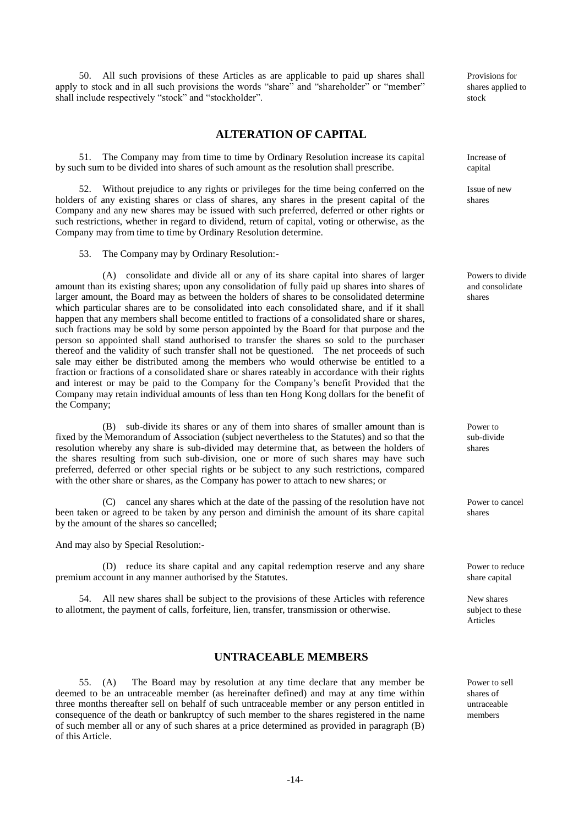50. All such provisions of these Articles as are applicable to paid up shares shall apply to stock and in all such provisions the words "share" and "shareholder" or "member" shall include respectively "stock" and "stockholder".

## **ALTERATION OF CAPITAL**

51. The Company may from time to time by Ordinary Resolution increase its capital by such sum to be divided into shares of such amount as the resolution shall prescribe.

52. Without prejudice to any rights or privileges for the time being conferred on the holders of any existing shares or class of shares, any shares in the present capital of the Company and any new shares may be issued with such preferred, deferred or other rights or such restrictions, whether in regard to dividend, return of capital, voting or otherwise, as the Company may from time to time by Ordinary Resolution determine.

53. The Company may by Ordinary Resolution:-

(A) consolidate and divide all or any of its share capital into shares of larger amount than its existing shares; upon any consolidation of fully paid up shares into shares of larger amount, the Board may as between the holders of shares to be consolidated determine which particular shares are to be consolidated into each consolidated share, and if it shall happen that any members shall become entitled to fractions of a consolidated share or shares, such fractions may be sold by some person appointed by the Board for that purpose and the person so appointed shall stand authorised to transfer the shares so sold to the purchaser thereof and the validity of such transfer shall not be questioned. The net proceeds of such sale may either be distributed among the members who would otherwise be entitled to a fraction or fractions of a consolidated share or shares rateably in accordance with their rights and interest or may be paid to the Company for the Company's benefit Provided that the Company may retain individual amounts of less than ten Hong Kong dollars for the benefit of the Company;

(B) sub-divide its shares or any of them into shares of smaller amount than is fixed by the Memorandum of Association (subject nevertheless to the Statutes) and so that the resolution whereby any share is sub-divided may determine that, as between the holders of the shares resulting from such sub-division, one or more of such shares may have such preferred, deferred or other special rights or be subject to any such restrictions, compared with the other share or shares, as the Company has power to attach to new shares; or

(C) cancel any shares which at the date of the passing of the resolution have not been taken or agreed to be taken by any person and diminish the amount of its share capital by the amount of the shares so cancelled;

And may also by Special Resolution:-

(D) reduce its share capital and any capital redemption reserve and any share premium account in any manner authorised by the Statutes.

54. All new shares shall be subject to the provisions of these Articles with reference to allotment, the payment of calls, forfeiture, lien, transfer, transmission or otherwise.

#### **UNTRACEABLE MEMBERS**

55. (A) The Board may by resolution at any time declare that any member be deemed to be an untraceable member (as hereinafter defined) and may at any time within three months thereafter sell on behalf of such untraceable member or any person entitled in consequence of the death or bankruptcy of such member to the shares registered in the name of such member all or any of such shares at a price determined as provided in paragraph (B) of this Article.

Provisions for shares applied to stock

Increase of capital

Issue of new shares

Powers to divide and consolidate shares

Power to sub-divide shares

Power to cancel shares

Power to reduce share capital

New shares subject to these Articles

Power to sell shares of untraceable members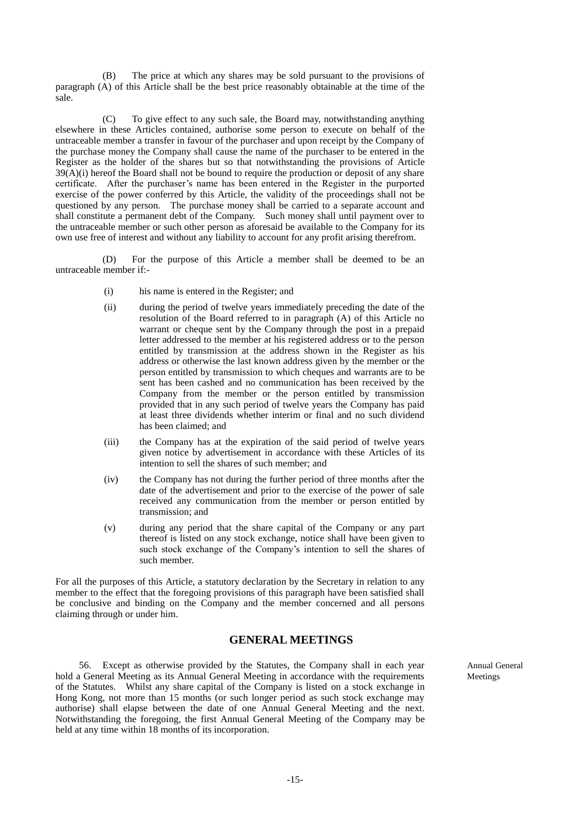(B) The price at which any shares may be sold pursuant to the provisions of paragraph (A) of this Article shall be the best price reasonably obtainable at the time of the sale.

(C) To give effect to any such sale, the Board may, notwithstanding anything elsewhere in these Articles contained, authorise some person to execute on behalf of the untraceable member a transfer in favour of the purchaser and upon receipt by the Company of the purchase money the Company shall cause the name of the purchaser to be entered in the Register as the holder of the shares but so that notwithstanding the provisions of Article  $39(A)(i)$  hereof the Board shall not be bound to require the production or deposit of any share certificate. After the purchaser's name has been entered in the Register in the purported exercise of the power conferred by this Article, the validity of the proceedings shall not be questioned by any person. The purchase money shall be carried to a separate account and shall constitute a permanent debt of the Company. Such money shall until payment over to the untraceable member or such other person as aforesaid be available to the Company for its own use free of interest and without any liability to account for any profit arising therefrom.

(D) For the purpose of this Article a member shall be deemed to be an untraceable member if:-

- (i) his name is entered in the Register; and
- (ii) during the period of twelve years immediately preceding the date of the resolution of the Board referred to in paragraph (A) of this Article no warrant or cheque sent by the Company through the post in a prepaid letter addressed to the member at his registered address or to the person entitled by transmission at the address shown in the Register as his address or otherwise the last known address given by the member or the person entitled by transmission to which cheques and warrants are to be sent has been cashed and no communication has been received by the Company from the member or the person entitled by transmission provided that in any such period of twelve years the Company has paid at least three dividends whether interim or final and no such dividend has been claimed; and
- (iii) the Company has at the expiration of the said period of twelve years given notice by advertisement in accordance with these Articles of its intention to sell the shares of such member; and
- (iv) the Company has not during the further period of three months after the date of the advertisement and prior to the exercise of the power of sale received any communication from the member or person entitled by transmission; and
- (v) during any period that the share capital of the Company or any part thereof is listed on any stock exchange, notice shall have been given to such stock exchange of the Company's intention to sell the shares of such member.

For all the purposes of this Article, a statutory declaration by the Secretary in relation to any member to the effect that the foregoing provisions of this paragraph have been satisfied shall be conclusive and binding on the Company and the member concerned and all persons claiming through or under him.

## **GENERAL MEETINGS**

56. Except as otherwise provided by the Statutes, the Company shall in each year hold a General Meeting as its Annual General Meeting in accordance with the requirements of the Statutes. Whilst any share capital of the Company is listed on a stock exchange in Hong Kong, not more than 15 months (or such longer period as such stock exchange may authorise) shall elapse between the date of one Annual General Meeting and the next. Notwithstanding the foregoing, the first Annual General Meeting of the Company may be held at any time within 18 months of its incorporation.

Annual General Meetings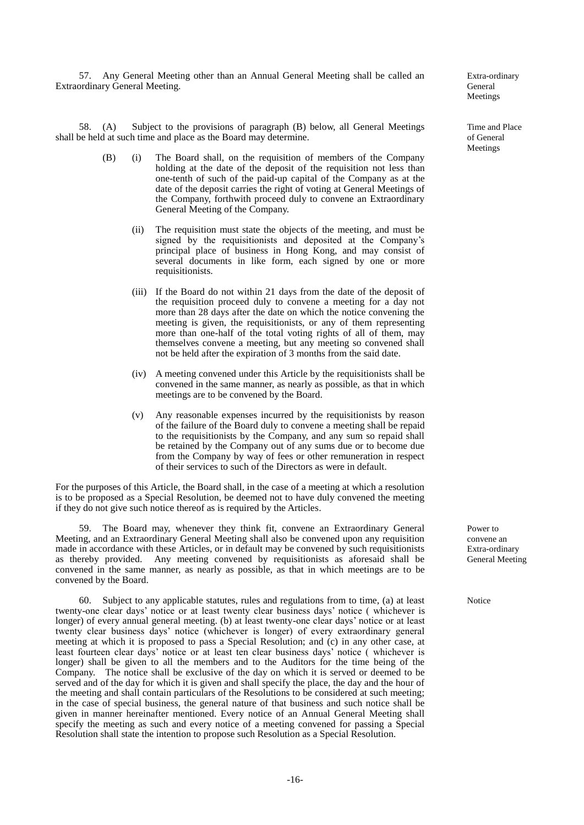57. Any General Meeting other than an Annual General Meeting shall be called an Extraordinary General Meeting.

58. (A) Subject to the provisions of paragraph (B) below, all General Meetings shall be held at such time and place as the Board may determine.

- (B) (i) The Board shall, on the requisition of members of the Company holding at the date of the deposit of the requisition not less than one-tenth of such of the paid-up capital of the Company as at the date of the deposit carries the right of voting at General Meetings of the Company, forthwith proceed duly to convene an Extraordinary General Meeting of the Company.
	- (ii) The requisition must state the objects of the meeting, and must be signed by the requisitionists and deposited at the Company's principal place of business in Hong Kong, and may consist of several documents in like form, each signed by one or more requisitionists.
	- (iii) If the Board do not within 21 days from the date of the deposit of the requisition proceed duly to convene a meeting for a day not more than 28 days after the date on which the notice convening the meeting is given, the requisitionists, or any of them representing more than one-half of the total voting rights of all of them, may themselves convene a meeting, but any meeting so convened shall not be held after the expiration of 3 months from the said date.
	- (iv) A meeting convened under this Article by the requisitionists shall be convened in the same manner, as nearly as possible, as that in which meetings are to be convened by the Board.
	- (v) Any reasonable expenses incurred by the requisitionists by reason of the failure of the Board duly to convene a meeting shall be repaid to the requisitionists by the Company, and any sum so repaid shall be retained by the Company out of any sums due or to become due from the Company by way of fees or other remuneration in respect of their services to such of the Directors as were in default.

For the purposes of this Article, the Board shall, in the case of a meeting at which a resolution is to be proposed as a Special Resolution, be deemed not to have duly convened the meeting if they do not give such notice thereof as is required by the Articles.

59. The Board may, whenever they think fit, convene an Extraordinary General Meeting, and an Extraordinary General Meeting shall also be convened upon any requisition made in accordance with these Articles, or in default may be convened by such requisitionists as thereby provided. Any meeting convened by requisitionists as aforesaid shall be convened in the same manner, as nearly as possible, as that in which meetings are to be convened by the Board.

60. Subject to any applicable statutes, rules and regulations from to time, (a) at least twenty-one clear days' notice or at least twenty clear business days' notice ( whichever is longer) of every annual general meeting. (b) at least twenty-one clear days' notice or at least twenty clear business days' notice (whichever is longer) of every extraordinary general meeting at which it is proposed to pass a Special Resolution; and (c) in any other case, at least fourteen clear days' notice or at least ten clear business days' notice ( whichever is longer) shall be given to all the members and to the Auditors for the time being of the Company. The notice shall be exclusive of the day on which it is served or deemed to be served and of the day for which it is given and shall specify the place, the day and the hour of the meeting and shall contain particulars of the Resolutions to be considered at such meeting; in the case of special business, the general nature of that business and such notice shall be given in manner hereinafter mentioned. Every notice of an Annual General Meeting shall specify the meeting as such and every notice of a meeting convened for passing a Special Resolution shall state the intention to propose such Resolution as a Special Resolution.

Extra-ordinary General Meetings

Time and Place of General **Meetings** 

Power to convene an Extra-ordinary General Meeting

Notice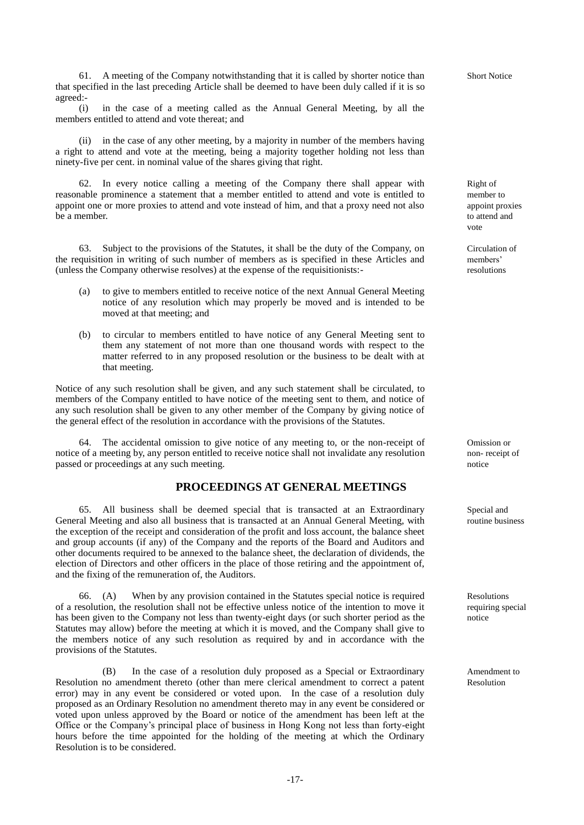61. A meeting of the Company notwithstanding that it is called by shorter notice than that specified in the last preceding Article shall be deemed to have been duly called if it is so agreed:-

(i) in the case of a meeting called as the Annual General Meeting, by all the members entitled to attend and vote thereat; and

(ii) in the case of any other meeting, by a majority in number of the members having a right to attend and vote at the meeting, being a majority together holding not less than ninety-five per cent. in nominal value of the shares giving that right.

62. In every notice calling a meeting of the Company there shall appear with reasonable prominence a statement that a member entitled to attend and vote is entitled to appoint one or more proxies to attend and vote instead of him, and that a proxy need not also be a member.

63. Subject to the provisions of the Statutes, it shall be the duty of the Company, on the requisition in writing of such number of members as is specified in these Articles and (unless the Company otherwise resolves) at the expense of the requisitionists:-

- (a) to give to members entitled to receive notice of the next Annual General Meeting notice of any resolution which may properly be moved and is intended to be moved at that meeting; and
- (b) to circular to members entitled to have notice of any General Meeting sent to them any statement of not more than one thousand words with respect to the matter referred to in any proposed resolution or the business to be dealt with at that meeting.

Notice of any such resolution shall be given, and any such statement shall be circulated, to members of the Company entitled to have notice of the meeting sent to them, and notice of any such resolution shall be given to any other member of the Company by giving notice of the general effect of the resolution in accordance with the provisions of the Statutes.

64. The accidental omission to give notice of any meeting to, or the non-receipt of notice of a meeting by, any person entitled to receive notice shall not invalidate any resolution passed or proceedings at any such meeting.

#### **PROCEEDINGS AT GENERAL MEETINGS**

65. All business shall be deemed special that is transacted at an Extraordinary General Meeting and also all business that is transacted at an Annual General Meeting, with the exception of the receipt and consideration of the profit and loss account, the balance sheet and group accounts (if any) of the Company and the reports of the Board and Auditors and other documents required to be annexed to the balance sheet, the declaration of dividends, the election of Directors and other officers in the place of those retiring and the appointment of, and the fixing of the remuneration of, the Auditors.

66. (A) When by any provision contained in the Statutes special notice is required of a resolution, the resolution shall not be effective unless notice of the intention to move it has been given to the Company not less than twenty-eight days (or such shorter period as the Statutes may allow) before the meeting at which it is moved, and the Company shall give to the members notice of any such resolution as required by and in accordance with the provisions of the Statutes.

(B) In the case of a resolution duly proposed as a Special or Extraordinary Resolution no amendment thereto (other than mere clerical amendment to correct a patent error) may in any event be considered or voted upon. In the case of a resolution duly proposed as an Ordinary Resolution no amendment thereto may in any event be considered or voted upon unless approved by the Board or notice of the amendment has been left at the Office or the Company's principal place of business in Hong Kong not less than forty-eight hours before the time appointed for the holding of the meeting at which the Ordinary Resolution is to be considered.

Short Notice

Right of member to appoint proxies to attend and vote

Circulation of members' resolutions

Omission or non- receipt of notice

Special and routine business

**Resolutions** requiring special notice

Amendment to Resolution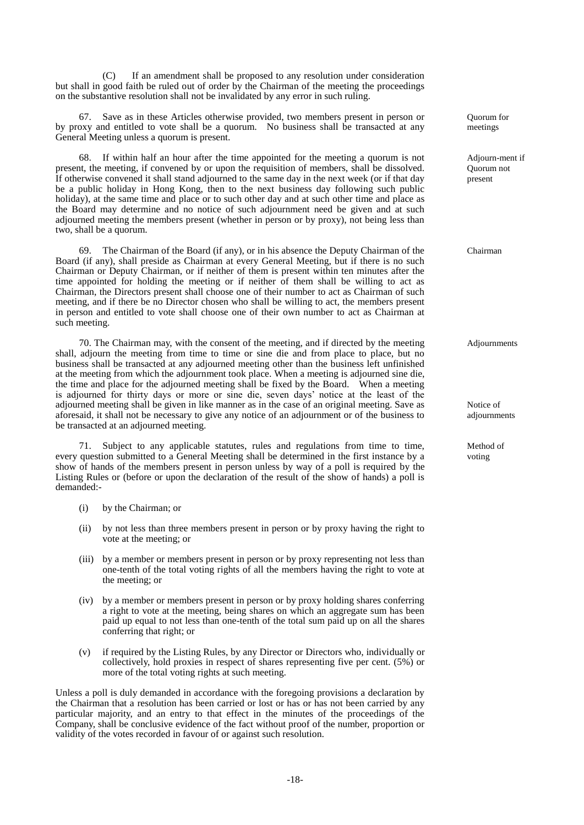(C) If an amendment shall be proposed to any resolution under consideration but shall in good faith be ruled out of order by the Chairman of the meeting the proceedings on the substantive resolution shall not be invalidated by any error in such ruling.

67. Save as in these Articles otherwise provided, two members present in person or by proxy and entitled to vote shall be a quorum. No business shall be transacted at any General Meeting unless a quorum is present.

68. If within half an hour after the time appointed for the meeting a quorum is not present, the meeting, if convened by or upon the requisition of members, shall be dissolved. If otherwise convened it shall stand adjourned to the same day in the next week (or if that day be a public holiday in Hong Kong, then to the next business day following such public holiday), at the same time and place or to such other day and at such other time and place as the Board may determine and no notice of such adjournment need be given and at such adjourned meeting the members present (whether in person or by proxy), not being less than two, shall be a quorum.

69. The Chairman of the Board (if any), or in his absence the Deputy Chairman of the Board (if any), shall preside as Chairman at every General Meeting, but if there is no such Chairman or Deputy Chairman, or if neither of them is present within ten minutes after the time appointed for holding the meeting or if neither of them shall be willing to act as Chairman, the Directors present shall choose one of their number to act as Chairman of such meeting, and if there be no Director chosen who shall be willing to act, the members present in person and entitled to vote shall choose one of their own number to act as Chairman at such meeting.

70. The Chairman may, with the consent of the meeting, and if directed by the meeting shall, adjourn the meeting from time to time or sine die and from place to place, but no business shall be transacted at any adjourned meeting other than the business left unfinished at the meeting from which the adjournment took place. When a meeting is adjourned sine die, the time and place for the adjourned meeting shall be fixed by the Board. When a meeting is adjourned for thirty days or more or sine die, seven days' notice at the least of the adjourned meeting shall be given in like manner as in the case of an original meeting. Save as aforesaid, it shall not be necessary to give any notice of an adjournment or of the business to be transacted at an adjourned meeting.

71. Subject to any applicable statutes, rules and regulations from time to time, every question submitted to a General Meeting shall be determined in the first instance by a show of hands of the members present in person unless by way of a poll is required by the Listing Rules or (before or upon the declaration of the result of the show of hands) a poll is demanded:-

- (i) by the Chairman; or
- (ii) by not less than three members present in person or by proxy having the right to vote at the meeting; or
- (iii) by a member or members present in person or by proxy representing not less than one-tenth of the total voting rights of all the members having the right to vote at the meeting; or
- (iv) by a member or members present in person or by proxy holding shares conferring a right to vote at the meeting, being shares on which an aggregate sum has been paid up equal to not less than one-tenth of the total sum paid up on all the shares conferring that right; or
- (v) if required by the Listing Rules, by any Director or Directors who, individually or collectively, hold proxies in respect of shares representing five per cent. (5%) or more of the total voting rights at such meeting.

Unless a poll is duly demanded in accordance with the foregoing provisions a declaration by the Chairman that a resolution has been carried or lost or has or has not been carried by any particular majority, and an entry to that effect in the minutes of the proceedings of the Company, shall be conclusive evidence of the fact without proof of the number, proportion or validity of the votes recorded in favour of or against such resolution.

Quorum for meetings

Adjourn-ment if Quorum not present

Chairman

Adjournments

Notice of adjournments

Method of voting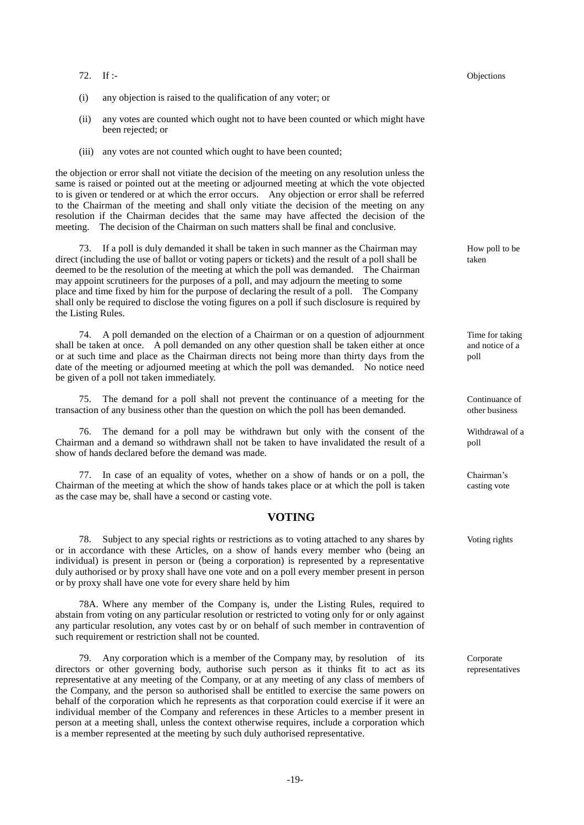72. If :-

Objections

- (i) any objection is raised to the qualification of any voter; or
- (ii) any votes are counted which ought not to have been counted or which might have been rejected; or
- (iii) any votes are not counted which ought to have been counted;

the objection or error shall not vitiate the decision of the meeting on any resolution unless the same is raised or pointed out at the meeting or adjourned meeting at which the vote objected to is given or tendered or at which the error occurs. Any objection or error shall be referred to the Chairman of the meeting and shall only vitiate the decision of the meeting on any resolution if the Chairman decides that the same may have affected the decision of the meeting. The decision of the Chairman on such matters shall be final and conclusive.

73. If a poll is duly demanded it shall be taken in such manner as the Chairman may direct (including the use of ballot or voting papers or tickets) and the result of a poll shall be deemed to be the resolution of the meeting at which the poll was demanded. The Chairman may appoint scrutineers for the purposes of a poll, and may adjourn the meeting to some place and time fixed by him for the purpose of declaring the result of a poll. The Company shall only be required to disclose the voting figures on a poll if such disclosure is required by the Listing Rules.

74. A poll demanded on the election of a Chairman or on a question of adjournment shall be taken at once. A poll demanded on any other question shall be taken either at once or at such time and place as the Chairman directs not being more than thirty days from the date of the meeting or adjourned meeting at which the poll was demanded. No notice need be given of a poll not taken immediately.

75. The demand for a poll shall not prevent the continuance of a meeting for the transaction of any business other than the question on which the poll has been demanded.

76. The demand for a poll may be withdrawn but only with the consent of the Chairman and a demand so withdrawn shall not be taken to have invalidated the result of a show of hands declared before the demand was made.

77. In case of an equality of votes, whether on a show of hands or on a poll, the Chairman of the meeting at which the show of hands takes place or at which the poll is taken as the case may be, shall have a second or casting vote.

#### **VOTING**

78. Subject to any special rights or restrictions as to voting attached to any shares by or in accordance with these Articles, on a show of hands every member who (being an individual) is present in person or (being a corporation) is represented by a representative duly authorised or by proxy shall have one vote and on a poll every member present in person or by proxy shall have one vote for every share held by him

78A. Where any member of the Company is, under the Listing Rules, required to abstain from voting on any particular resolution or restricted to voting only for or only against any particular resolution, any votes cast by or on behalf of such member in contravention of such requirement or restriction shall not be counted.

79. Any corporation which is a member of the Company may, by resolution of its directors or other governing body, authorise such person as it thinks fit to act as its representative at any meeting of the Company, or at any meeting of any class of members of the Company, and the person so authorised shall be entitled to exercise the same powers on behalf of the corporation which he represents as that corporation could exercise if it were an individual member of the Company and references in these Articles to a member present in person at a meeting shall, unless the context otherwise requires, include a corporation which is a member represented at the meeting by such duly authorised representative.

How poll to be taken

Time for taking and notice of a poll

Continuance of other business

Withdrawal of a poll

Chairman's casting vote

Voting rights

Corporate representatives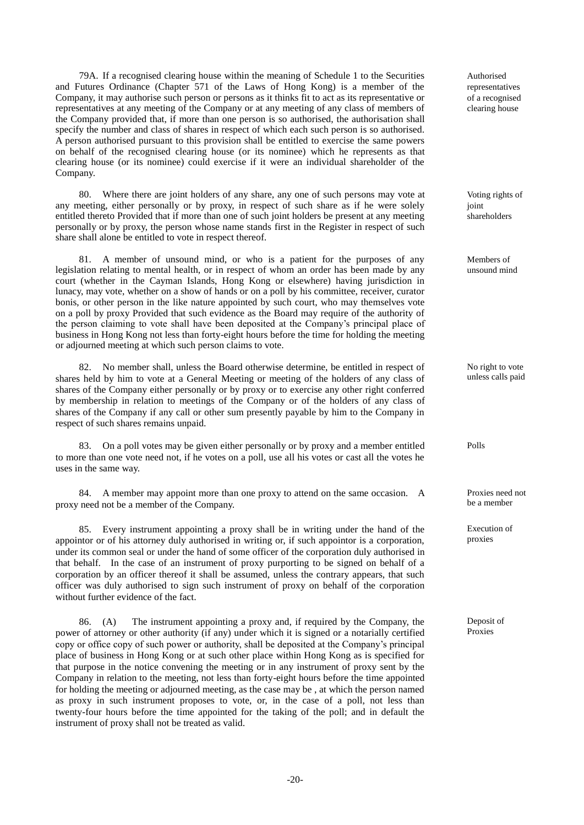79A. If a recognised clearing house within the meaning of Schedule 1 to the Securities and Futures Ordinance (Chapter 571 of the Laws of Hong Kong) is a member of the Company, it may authorise such person or persons as it thinks fit to act as its representative or representatives at any meeting of the Company or at any meeting of any class of members of the Company provided that, if more than one person is so authorised, the authorisation shall specify the number and class of shares in respect of which each such person is so authorised. A person authorised pursuant to this provision shall be entitled to exercise the same powers on behalf of the recognised clearing house (or its nominee) which he represents as that clearing house (or its nominee) could exercise if it were an individual shareholder of the Company.

80. Where there are joint holders of any share, any one of such persons may vote at any meeting, either personally or by proxy, in respect of such share as if he were solely entitled thereto Provided that if more than one of such joint holders be present at any meeting personally or by proxy, the person whose name stands first in the Register in respect of such share shall alone be entitled to vote in respect thereof.

81. A member of unsound mind, or who is a patient for the purposes of any legislation relating to mental health, or in respect of whom an order has been made by any court (whether in the Cayman Islands, Hong Kong or elsewhere) having jurisdiction in lunacy, may vote, whether on a show of hands or on a poll by his committee, receiver, curator bonis, or other person in the like nature appointed by such court, who may themselves vote on a poll by proxy Provided that such evidence as the Board may require of the authority of the person claiming to vote shall have been deposited at the Company's principal place of business in Hong Kong not less than forty-eight hours before the time for holding the meeting or adjourned meeting at which such person claims to vote.

82. No member shall, unless the Board otherwise determine, be entitled in respect of shares held by him to vote at a General Meeting or meeting of the holders of any class of shares of the Company either personally or by proxy or to exercise any other right conferred by membership in relation to meetings of the Company or of the holders of any class of shares of the Company if any call or other sum presently payable by him to the Company in respect of such shares remains unpaid.

83. On a poll votes may be given either personally or by proxy and a member entitled to more than one vote need not, if he votes on a poll, use all his votes or cast all the votes he uses in the same way.

84. A member may appoint more than one proxy to attend on the same occasion. A proxy need not be a member of the Company.

85. Every instrument appointing a proxy shall be in writing under the hand of the appointor or of his attorney duly authorised in writing or, if such appointor is a corporation, under its common seal or under the hand of some officer of the corporation duly authorised in that behalf. In the case of an instrument of proxy purporting to be signed on behalf of a corporation by an officer thereof it shall be assumed, unless the contrary appears, that such officer was duly authorised to sign such instrument of proxy on behalf of the corporation without further evidence of the fact.

86. (A) The instrument appointing a proxy and, if required by the Company, the power of attorney or other authority (if any) under which it is signed or a notarially certified copy or office copy of such power or authority, shall be deposited at the Company's principal place of business in Hong Kong or at such other place within Hong Kong as is specified for that purpose in the notice convening the meeting or in any instrument of proxy sent by the Company in relation to the meeting, not less than forty-eight hours before the time appointed for holding the meeting or adjourned meeting, as the case may be , at which the person named as proxy in such instrument proposes to vote, or, in the case of a poll, not less than twenty-four hours before the time appointed for the taking of the poll; and in default the instrument of proxy shall not be treated as valid.

Authorised representatives of a recognised clearing house

Voting rights of joint shareholders

Members of unsound mind

No right to vote unless calls paid

Polls

Proxies need not be a member

Execution of proxies

Deposit of Proxies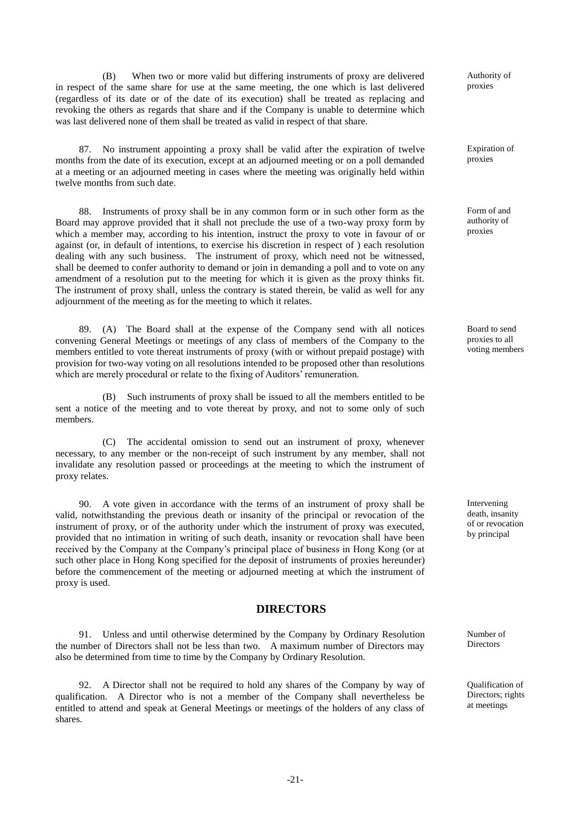(B) When two or more valid but differing instruments of proxy are delivered in respect of the same share for use at the same meeting, the one which is last delivered (regardless of its date or of the date of its execution) shall be treated as replacing and revoking the others as regards that share and if the Company is unable to determine which was last delivered none of them shall be treated as valid in respect of that share.

87. No instrument appointing a proxy shall be valid after the expiration of twelve months from the date of its execution, except at an adjourned meeting or on a poll demanded at a meeting or an adjourned meeting in cases where the meeting was originally held within twelve months from such date.

88. Instruments of proxy shall be in any common form or in such other form as the Board may approve provided that it shall not preclude the use of a two-way proxy form by which a member may, according to his intention, instruct the proxy to vote in favour of or against (or, in default of intentions, to exercise his discretion in respect of ) each resolution dealing with any such business. The instrument of proxy, which need not be witnessed, shall be deemed to confer authority to demand or join in demanding a poll and to vote on any amendment of a resolution put to the meeting for which it is given as the proxy thinks fit. The instrument of proxy shall, unless the contrary is stated therein, be valid as well for any adjournment of the meeting as for the meeting to which it relates.

89. (A) The Board shall at the expense of the Company send with all notices convening General Meetings or meetings of any class of members of the Company to the members entitled to vote thereat instruments of proxy (with or without prepaid postage) with provision for two-way voting on all resolutions intended to be proposed other than resolutions which are merely procedural or relate to the fixing of Auditors' remuneration.

(B) Such instruments of proxy shall be issued to all the members entitled to be sent a notice of the meeting and to vote thereat by proxy, and not to some only of such members.

(C) The accidental omission to send out an instrument of proxy, whenever necessary, to any member or the non-receipt of such instrument by any member, shall not invalidate any resolution passed or proceedings at the meeting to which the instrument of proxy relates.

90. A vote given in accordance with the terms of an instrument of proxy shall be valid, notwithstanding the previous death or insanity of the principal or revocation of the instrument of proxy, or of the authority under which the instrument of proxy was executed, provided that no intimation in writing of such death, insanity or revocation shall have been received by the Company at the Company's principal place of business in Hong Kong (or at such other place in Hong Kong specified for the deposit of instruments of proxies hereunder) before the commencement of the meeting or adjourned meeting at which the instrument of proxy is used.

#### **DIRECTORS**

91. Unless and until otherwise determined by the Company by Ordinary Resolution the number of Directors shall not be less than two. A maximum number of Directors may also be determined from time to time by the Company by Ordinary Resolution.

92. A Director shall not be required to hold any shares of the Company by way of qualification. A Director who is not a member of the Company shall nevertheless be entitled to attend and speak at General Meetings or meetings of the holders of any class of shares.

Authority of proxies

Expiration of proxies

Form of and authority of proxies

Board to send proxies to all voting members

Intervening death, insanity of or revocation by principal

Number of **Directors** 

Qualification of Directors; rights at meetings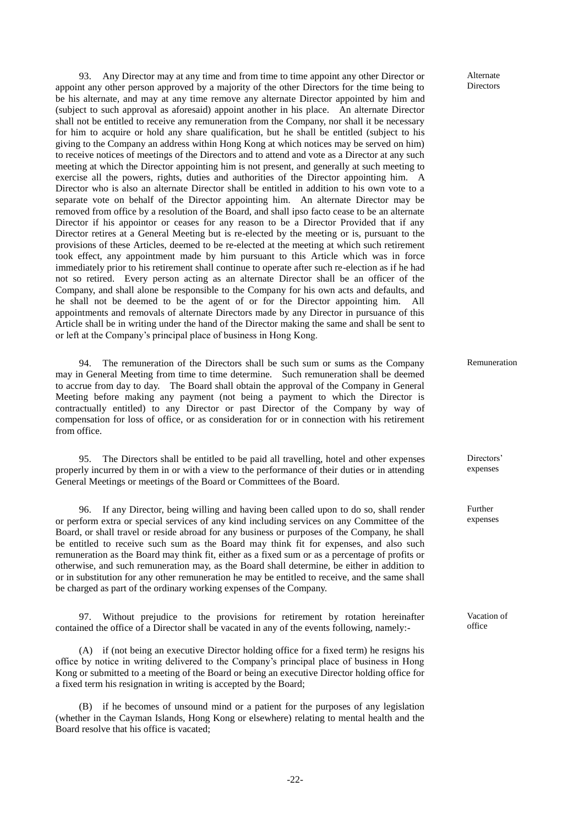93. Any Director may at any time and from time to time appoint any other Director or appoint any other person approved by a majority of the other Directors for the time being to be his alternate, and may at any time remove any alternate Director appointed by him and (subject to such approval as aforesaid) appoint another in his place. An alternate Director shall not be entitled to receive any remuneration from the Company, nor shall it be necessary for him to acquire or hold any share qualification, but he shall be entitled (subject to his giving to the Company an address within Hong Kong at which notices may be served on him) to receive notices of meetings of the Directors and to attend and vote as a Director at any such meeting at which the Director appointing him is not present, and generally at such meeting to exercise all the powers, rights, duties and authorities of the Director appointing him. A Director who is also an alternate Director shall be entitled in addition to his own vote to a separate vote on behalf of the Director appointing him. An alternate Director may be removed from office by a resolution of the Board, and shall ipso facto cease to be an alternate Director if his appointor or ceases for any reason to be a Director Provided that if any Director retires at a General Meeting but is re-elected by the meeting or is, pursuant to the provisions of these Articles, deemed to be re-elected at the meeting at which such retirement took effect, any appointment made by him pursuant to this Article which was in force immediately prior to his retirement shall continue to operate after such re-election as if he had not so retired. Every person acting as an alternate Director shall be an officer of the Company, and shall alone be responsible to the Company for his own acts and defaults, and he shall not be deemed to be the agent of or for the Director appointing him. All appointments and removals of alternate Directors made by any Director in pursuance of this Article shall be in writing under the hand of the Director making the same and shall be sent to or left at the Company's principal place of business in Hong Kong.

94. The remuneration of the Directors shall be such sum or sums as the Company may in General Meeting from time to time determine. Such remuneration shall be deemed to accrue from day to day. The Board shall obtain the approval of the Company in General Meeting before making any payment (not being a payment to which the Director is contractually entitled) to any Director or past Director of the Company by way of compensation for loss of office, or as consideration for or in connection with his retirement from office.

95. The Directors shall be entitled to be paid all travelling, hotel and other expenses properly incurred by them in or with a view to the performance of their duties or in attending General Meetings or meetings of the Board or Committees of the Board.

96. If any Director, being willing and having been called upon to do so, shall render or perform extra or special services of any kind including services on any Committee of the Board, or shall travel or reside abroad for any business or purposes of the Company, he shall be entitled to receive such sum as the Board may think fit for expenses, and also such remuneration as the Board may think fit, either as a fixed sum or as a percentage of profits or otherwise, and such remuneration may, as the Board shall determine, be either in addition to or in substitution for any other remuneration he may be entitled to receive, and the same shall be charged as part of the ordinary working expenses of the Company.

97. Without prejudice to the provisions for retirement by rotation hereinafter contained the office of a Director shall be vacated in any of the events following, namely:-

(A) if (not being an executive Director holding office for a fixed term) he resigns his office by notice in writing delivered to the Company's principal place of business in Hong Kong or submitted to a meeting of the Board or being an executive Director holding office for a fixed term his resignation in writing is accepted by the Board;

(B) if he becomes of unsound mind or a patient for the purposes of any legislation (whether in the Cayman Islands, Hong Kong or elsewhere) relating to mental health and the Board resolve that his office is vacated;

Alternate **Directors** 

Remuneration

Directors' expenses

Further expenses

Vacation of office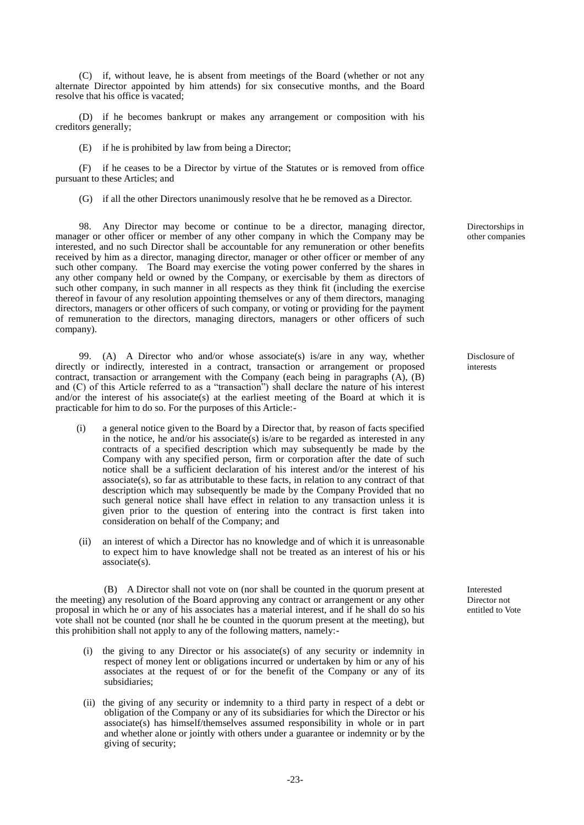(C) if, without leave, he is absent from meetings of the Board (whether or not any alternate Director appointed by him attends) for six consecutive months, and the Board resolve that his office is vacated;

(D) if he becomes bankrupt or makes any arrangement or composition with his creditors generally;

(E) if he is prohibited by law from being a Director;

(F) if he ceases to be a Director by virtue of the Statutes or is removed from office pursuant to these Articles; and

(G) if all the other Directors unanimously resolve that he be removed as a Director.

98. Any Director may become or continue to be a director, managing director, manager or other officer or member of any other company in which the Company may be interested, and no such Director shall be accountable for any remuneration or other benefits received by him as a director, managing director, manager or other officer or member of any such other company. The Board may exercise the voting power conferred by the shares in any other company held or owned by the Company, or exercisable by them as directors of such other company, in such manner in all respects as they think fit (including the exercise thereof in favour of any resolution appointing themselves or any of them directors, managing directors, managers or other officers of such company, or voting or providing for the payment of remuneration to the directors, managing directors, managers or other officers of such company).

99. (A) A Director who and/or whose associate(s) is/are in any way, whether directly or indirectly, interested in a contract, transaction or arrangement or proposed contract, transaction or arrangement with the Company (each being in paragraphs  $(A)$ ,  $(B)$ ) and (C) of this Article referred to as a "transaction") shall declare the nature of his interest and/or the interest of his associate(s) at the earliest meeting of the Board at which it is practicable for him to do so. For the purposes of this Article:-

- (i) a general notice given to the Board by a Director that, by reason of facts specified in the notice, he and/or his associate(s) is/are to be regarded as interested in any contracts of a specified description which may subsequently be made by the Company with any specified person, firm or corporation after the date of such notice shall be a sufficient declaration of his interest and/or the interest of his associate(s), so far as attributable to these facts, in relation to any contract of that description which may subsequently be made by the Company Provided that no such general notice shall have effect in relation to any transaction unless it is given prior to the question of entering into the contract is first taken into consideration on behalf of the Company; and
- (ii) an interest of which a Director has no knowledge and of which it is unreasonable to expect him to have knowledge shall not be treated as an interest of his or his associate(s).

(B) A Director shall not vote on (nor shall be counted in the quorum present at the meeting) any resolution of the Board approving any contract or arrangement or any other proposal in which he or any of his associates has a material interest, and if he shall do so his vote shall not be counted (nor shall he be counted in the quorum present at the meeting), but this prohibition shall not apply to any of the following matters, namely:-

- (i) the giving to any Director or his associate(s) of any security or indemnity in respect of money lent or obligations incurred or undertaken by him or any of his associates at the request of or for the benefit of the Company or any of its subsidiaries;
- (ii) the giving of any security or indemnity to a third party in respect of a debt or obligation of the Company or any of its subsidiaries for which the Director or his associate(s) has himself/themselves assumed responsibility in whole or in part and whether alone or jointly with others under a guarantee or indemnity or by the giving of security;

Directorships in other companies

Disclosure of interests

Interested Director not entitled to Vote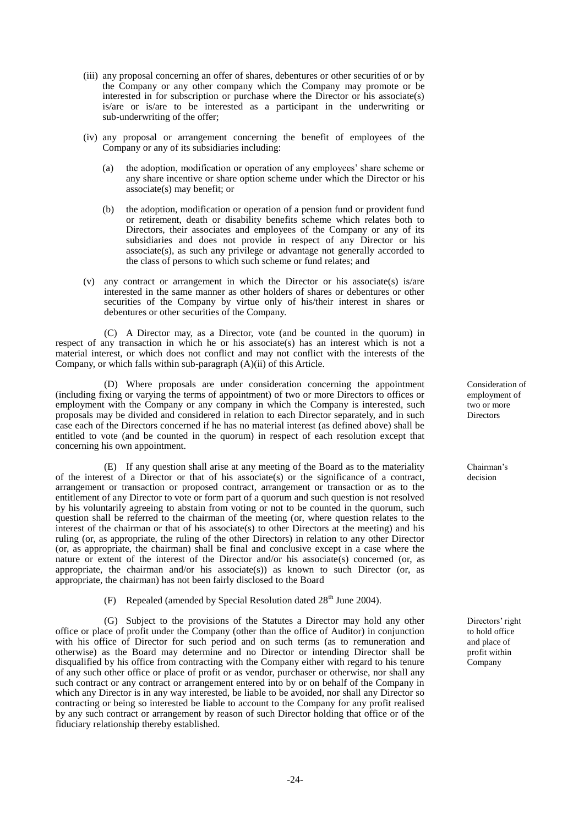- (iii) any proposal concerning an offer of shares, debentures or other securities of or by the Company or any other company which the Company may promote or be interested in for subscription or purchase where the Director or his associate(s) is/are or is/are to be interested as a participant in the underwriting or sub-underwriting of the offer;
- (iv) any proposal or arrangement concerning the benefit of employees of the Company or any of its subsidiaries including:
	- (a) the adoption, modification or operation of any employees' share scheme or any share incentive or share option scheme under which the Director or his associate(s) may benefit; or
	- (b) the adoption, modification or operation of a pension fund or provident fund or retirement, death or disability benefits scheme which relates both to Directors, their associates and employees of the Company or any of its subsidiaries and does not provide in respect of any Director or his associate(s), as such any privilege or advantage not generally accorded to the class of persons to which such scheme or fund relates; and
- (v) any contract or arrangement in which the Director or his associate(s) is/are interested in the same manner as other holders of shares or debentures or other securities of the Company by virtue only of his/their interest in shares or debentures or other securities of the Company.

(C) A Director may, as a Director, vote (and be counted in the quorum) in respect of any transaction in which he or his associate(s) has an interest which is not a material interest, or which does not conflict and may not conflict with the interests of the Company, or which falls within sub-paragraph (A)(ii) of this Article.

(D) Where proposals are under consideration concerning the appointment (including fixing or varying the terms of appointment) of two or more Directors to offices or employment with the Company or any company in which the Company is interested, such proposals may be divided and considered in relation to each Director separately, and in such case each of the Directors concerned if he has no material interest (as defined above) shall be entitled to vote (and be counted in the quorum) in respect of each resolution except that concerning his own appointment.

(E) If any question shall arise at any meeting of the Board as to the materiality of the interest of a Director or that of his associate(s) or the significance of a contract, arrangement or transaction or proposed contract, arrangement or transaction or as to the entitlement of any Director to vote or form part of a quorum and such question is not resolved by his voluntarily agreeing to abstain from voting or not to be counted in the quorum, such question shall be referred to the chairman of the meeting (or, where question relates to the interest of the chairman or that of his associate(s) to other Directors at the meeting) and his ruling (or, as appropriate, the ruling of the other Directors) in relation to any other Director (or, as appropriate, the chairman) shall be final and conclusive except in a case where the nature or extent of the interest of the Director and/or his associate(s) concerned (or, as appropriate, the chairman and/or his associate(s)) as known to such Director (or, as appropriate, the chairman) has not been fairly disclosed to the Board

(F) Repealed (amended by Special Resolution dated  $28<sup>th</sup>$  June 2004).

(G) Subject to the provisions of the Statutes a Director may hold any other office or place of profit under the Company (other than the office of Auditor) in conjunction with his office of Director for such period and on such terms (as to remuneration and otherwise) as the Board may determine and no Director or intending Director shall be disqualified by his office from contracting with the Company either with regard to his tenure of any such other office or place of profit or as vendor, purchaser or otherwise, nor shall any such contract or any contract or arrangement entered into by or on behalf of the Company in which any Director is in any way interested, be liable to be avoided, nor shall any Director so contracting or being so interested be liable to account to the Company for any profit realised by any such contract or arrangement by reason of such Director holding that office or of the fiduciary relationship thereby established.

Consideration of employment of two or more **Directors** 

Chairman's decision

Directors' right to hold office and place of profit within Company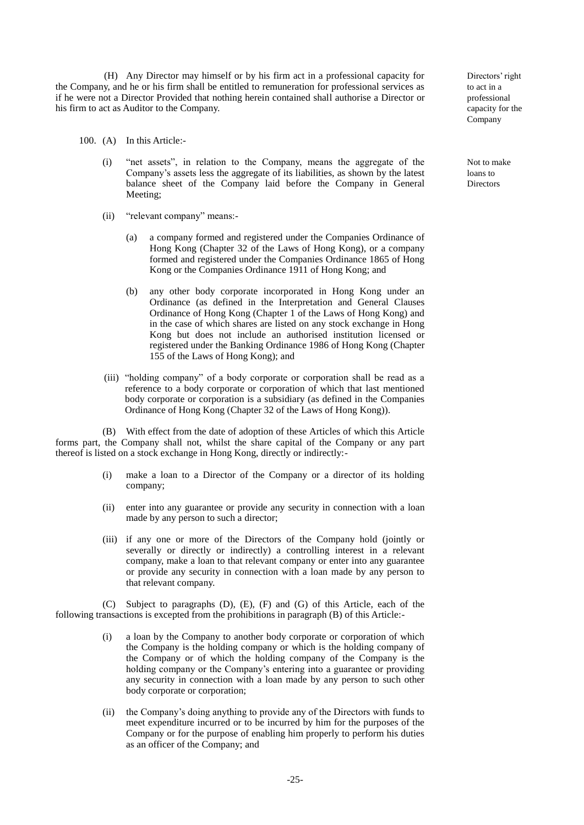(H) Any Director may himself or by his firm act in a professional capacity for the Company, and he or his firm shall be entitled to remuneration for professional services as if he were not a Director Provided that nothing herein contained shall authorise a Director or his firm to act as Auditor to the Company.

- 100. (A) In this Article:-
	- (i) "net assets", in relation to the Company, means the aggregate of the Company's assets less the aggregate of its liabilities, as shown by the latest balance sheet of the Company laid before the Company in General Meeting:
	- (ii) "relevant company" means:-
		- (a) a company formed and registered under the Companies Ordinance of Hong Kong (Chapter 32 of the Laws of Hong Kong), or a company formed and registered under the Companies Ordinance 1865 of Hong Kong or the Companies Ordinance 1911 of Hong Kong; and
		- (b) any other body corporate incorporated in Hong Kong under an Ordinance (as defined in the Interpretation and General Clauses Ordinance of Hong Kong (Chapter 1 of the Laws of Hong Kong) and in the case of which shares are listed on any stock exchange in Hong Kong but does not include an authorised institution licensed or registered under the Banking Ordinance 1986 of Hong Kong (Chapter 155 of the Laws of Hong Kong); and
	- (iii) "holding company" of a body corporate or corporation shall be read as a reference to a body corporate or corporation of which that last mentioned body corporate or corporation is a subsidiary (as defined in the Companies Ordinance of Hong Kong (Chapter 32 of the Laws of Hong Kong)).

(B) With effect from the date of adoption of these Articles of which this Article forms part, the Company shall not, whilst the share capital of the Company or any part thereof is listed on a stock exchange in Hong Kong, directly or indirectly:-

- (i) make a loan to a Director of the Company or a director of its holding company;
- (ii) enter into any guarantee or provide any security in connection with a loan made by any person to such a director;
- (iii) if any one or more of the Directors of the Company hold (jointly or severally or directly or indirectly) a controlling interest in a relevant company, make a loan to that relevant company or enter into any guarantee or provide any security in connection with a loan made by any person to that relevant company.

(C) Subject to paragraphs (D), (E), (F) and (G) of this Article, each of the following transactions is excepted from the prohibitions in paragraph (B) of this Article:-

- (i) a loan by the Company to another body corporate or corporation of which the Company is the holding company or which is the holding company of the Company or of which the holding company of the Company is the holding company or the Company's entering into a guarantee or providing any security in connection with a loan made by any person to such other body corporate or corporation;
- (ii) the Company's doing anything to provide any of the Directors with funds to meet expenditure incurred or to be incurred by him for the purposes of the Company or for the purpose of enabling him properly to perform his duties as an officer of the Company; and

Directors' right to act in a professional capacity for the Company

Not to make loans to Directors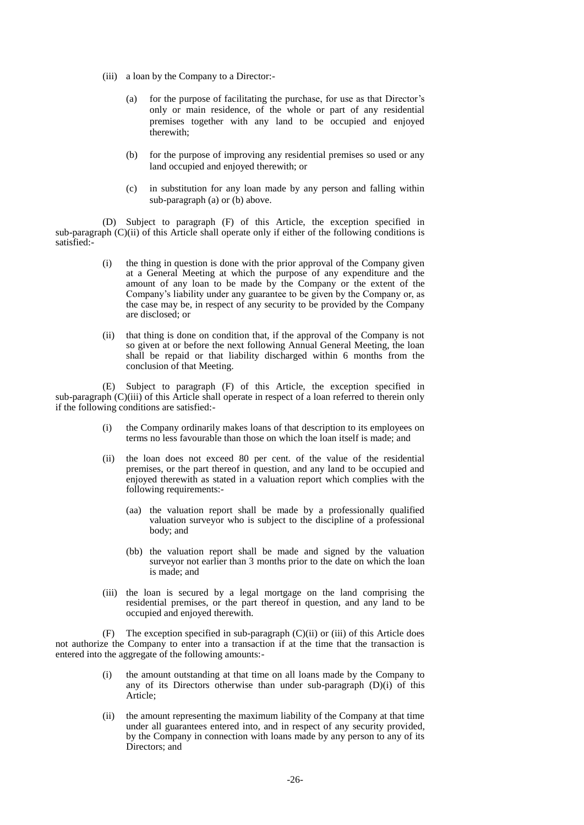- (iii) a loan by the Company to a Director:-
	- (a) for the purpose of facilitating the purchase, for use as that Director's only or main residence, of the whole or part of any residential premises together with any land to be occupied and enjoyed therewith;
	- (b) for the purpose of improving any residential premises so used or any land occupied and enjoyed therewith; or
	- (c) in substitution for any loan made by any person and falling within sub-paragraph (a) or (b) above.

(D) Subject to paragraph (F) of this Article, the exception specified in sub-paragraph (C)(ii) of this Article shall operate only if either of the following conditions is satisfied:-

- (i) the thing in question is done with the prior approval of the Company given at a General Meeting at which the purpose of any expenditure and the amount of any loan to be made by the Company or the extent of the Company's liability under any guarantee to be given by the Company or, as the case may be, in respect of any security to be provided by the Company are disclosed; or
- (ii) that thing is done on condition that, if the approval of the Company is not so given at or before the next following Annual General Meeting, the loan shall be repaid or that liability discharged within 6 months from the conclusion of that Meeting.

(E) Subject to paragraph (F) of this Article, the exception specified in sub-paragraph (C)(iii) of this Article shall operate in respect of a loan referred to therein only if the following conditions are satisfied:-

- (i) the Company ordinarily makes loans of that description to its employees on terms no less favourable than those on which the loan itself is made; and
- (ii) the loan does not exceed 80 per cent. of the value of the residential premises, or the part thereof in question, and any land to be occupied and enjoyed therewith as stated in a valuation report which complies with the following requirements:-
	- (aa) the valuation report shall be made by a professionally qualified valuation surveyor who is subject to the discipline of a professional body; and
	- (bb) the valuation report shall be made and signed by the valuation surveyor not earlier than 3 months prior to the date on which the loan is made; and
- (iii) the loan is secured by a legal mortgage on the land comprising the residential premises, or the part thereof in question, and any land to be occupied and enjoyed therewith.

(F) The exception specified in sub-paragraph (C)(ii) or (iii) of this Article does not authorize the Company to enter into a transaction if at the time that the transaction is entered into the aggregate of the following amounts:-

- (i) the amount outstanding at that time on all loans made by the Company to any of its Directors otherwise than under sub-paragraph (D)(i) of this Article;
- (ii) the amount representing the maximum liability of the Company at that time under all guarantees entered into, and in respect of any security provided, by the Company in connection with loans made by any person to any of its Directors: and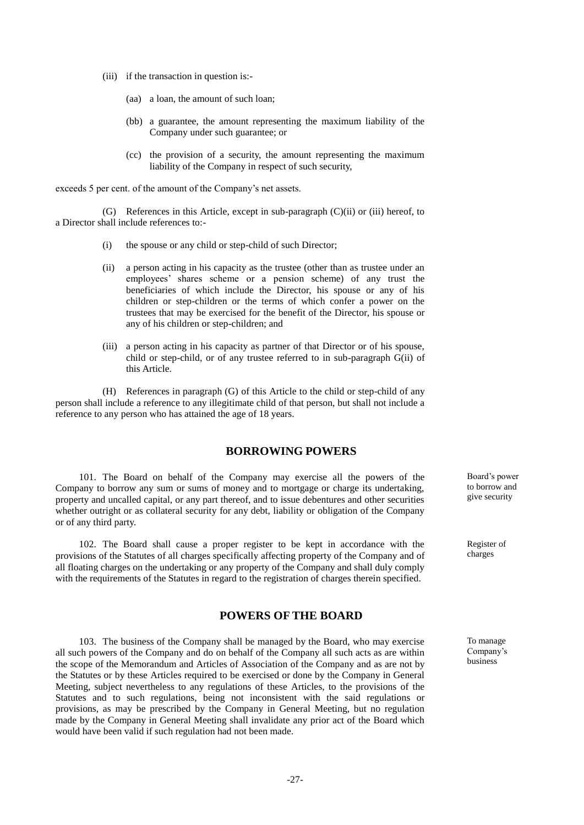- (iii) if the transaction in question is:-
	- (aa) a loan, the amount of such loan;
	- (bb) a guarantee, the amount representing the maximum liability of the Company under such guarantee; or
	- (cc) the provision of a security, the amount representing the maximum liability of the Company in respect of such security,

exceeds 5 per cent. of the amount of the Company's net assets.

(G) References in this Article, except in sub-paragraph (C)(ii) or (iii) hereof, to a Director shall include references to:-

- (i) the spouse or any child or step-child of such Director;
- (ii) a person acting in his capacity as the trustee (other than as trustee under an employees' shares scheme or a pension scheme) of any trust the beneficiaries of which include the Director, his spouse or any of his children or step-children or the terms of which confer a power on the trustees that may be exercised for the benefit of the Director, his spouse or any of his children or step-children; and
- (iii) a person acting in his capacity as partner of that Director or of his spouse, child or step-child, or of any trustee referred to in sub-paragraph G(ii) of this Article.

(H) References in paragraph (G) of this Article to the child or step-child of any person shall include a reference to any illegitimate child of that person, but shall not include a reference to any person who has attained the age of 18 years.

#### **BORROWING POWERS**

101. The Board on behalf of the Company may exercise all the powers of the Company to borrow any sum or sums of money and to mortgage or charge its undertaking, property and uncalled capital, or any part thereof, and to issue debentures and other securities whether outright or as collateral security for any debt, liability or obligation of the Company or of any third party.

102. The Board shall cause a proper register to be kept in accordance with the provisions of the Statutes of all charges specifically affecting property of the Company and of all floating charges on the undertaking or any property of the Company and shall duly comply with the requirements of the Statutes in regard to the registration of charges therein specified.

## **POWERS OF THE BOARD**

103. The business of the Company shall be managed by the Board, who may exercise all such powers of the Company and do on behalf of the Company all such acts as are within the scope of the Memorandum and Articles of Association of the Company and as are not by the Statutes or by these Articles required to be exercised or done by the Company in General Meeting, subject nevertheless to any regulations of these Articles, to the provisions of the Statutes and to such regulations, being not inconsistent with the said regulations or provisions, as may be prescribed by the Company in General Meeting, but no regulation made by the Company in General Meeting shall invalidate any prior act of the Board which would have been valid if such regulation had not been made.

Board's power to borrow and give security

Register of charges

To manage Company's business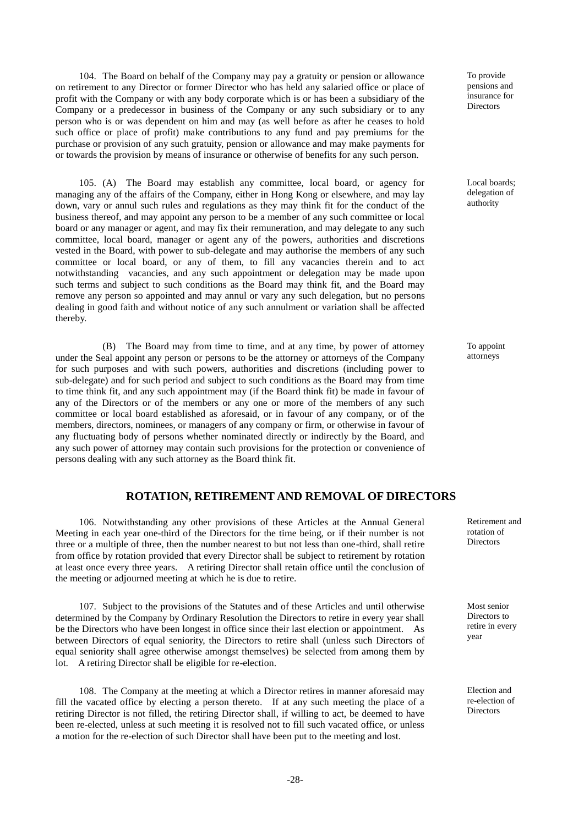104. The Board on behalf of the Company may pay a gratuity or pension or allowance on retirement to any Director or former Director who has held any salaried office or place of profit with the Company or with any body corporate which is or has been a subsidiary of the Company or a predecessor in business of the Company or any such subsidiary or to any person who is or was dependent on him and may (as well before as after he ceases to hold such office or place of profit) make contributions to any fund and pay premiums for the purchase or provision of any such gratuity, pension or allowance and may make payments for or towards the provision by means of insurance or otherwise of benefits for any such person.

105. (A) The Board may establish any committee, local board, or agency for managing any of the affairs of the Company, either in Hong Kong or elsewhere, and may lay down, vary or annul such rules and regulations as they may think fit for the conduct of the business thereof, and may appoint any person to be a member of any such committee or local board or any manager or agent, and may fix their remuneration, and may delegate to any such committee, local board, manager or agent any of the powers, authorities and discretions vested in the Board, with power to sub-delegate and may authorise the members of any such committee or local board, or any of them, to fill any vacancies therein and to act notwithstanding vacancies, and any such appointment or delegation may be made upon such terms and subject to such conditions as the Board may think fit, and the Board may remove any person so appointed and may annul or vary any such delegation, but no persons dealing in good faith and without notice of any such annulment or variation shall be affected thereby.

(B) The Board may from time to time, and at any time, by power of attorney under the Seal appoint any person or persons to be the attorney or attorneys of the Company for such purposes and with such powers, authorities and discretions (including power to sub-delegate) and for such period and subject to such conditions as the Board may from time to time think fit, and any such appointment may (if the Board think fit) be made in favour of any of the Directors or of the members or any one or more of the members of any such committee or local board established as aforesaid, or in favour of any company, or of the members, directors, nominees, or managers of any company or firm, or otherwise in favour of any fluctuating body of persons whether nominated directly or indirectly by the Board, and any such power of attorney may contain such provisions for the protection or convenience of persons dealing with any such attorney as the Board think fit.

#### **ROTATION, RETIREMENT AND REMOVAL OF DIRECTORS**

106. Notwithstanding any other provisions of these Articles at the Annual General Meeting in each year one-third of the Directors for the time being, or if their number is not three or a multiple of three, then the number nearest to but not less than one-third, shall retire from office by rotation provided that every Director shall be subject to retirement by rotation at least once every three years. A retiring Director shall retain office until the conclusion of the meeting or adjourned meeting at which he is due to retire.

107. Subject to the provisions of the Statutes and of these Articles and until otherwise determined by the Company by Ordinary Resolution the Directors to retire in every year shall be the Directors who have been longest in office since their last election or appointment. As between Directors of equal seniority, the Directors to retire shall (unless such Directors of equal seniority shall agree otherwise amongst themselves) be selected from among them by lot. A retiring Director shall be eligible for re-election.

108. The Company at the meeting at which a Director retires in manner aforesaid may fill the vacated office by electing a person thereto. If at any such meeting the place of a retiring Director is not filled, the retiring Director shall, if willing to act, be deemed to have been re-elected, unless at such meeting it is resolved not to fill such vacated office, or unless a motion for the re-election of such Director shall have been put to the meeting and lost.

To provide pensions and insurance for **Directors** 

Local boards; delegation of authority

To appoint attorneys

Retirement and rotation of **Directors** 

Most senior Directors to retire in every year

Election and re-election of **Directors**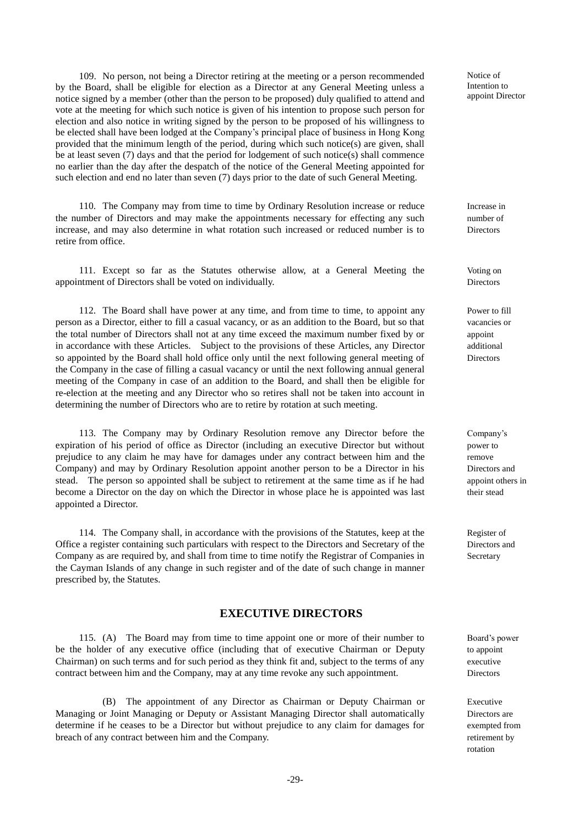109. No person, not being a Director retiring at the meeting or a person recommended by the Board, shall be eligible for election as a Director at any General Meeting unless a notice signed by a member (other than the person to be proposed) duly qualified to attend and vote at the meeting for which such notice is given of his intention to propose such person for election and also notice in writing signed by the person to be proposed of his willingness to be elected shall have been lodged at the Company's principal place of business in Hong Kong provided that the minimum length of the period, during which such notice(s) are given, shall be at least seven (7) days and that the period for lodgement of such notice(s) shall commence no earlier than the day after the despatch of the notice of the General Meeting appointed for such election and end no later than seven (7) days prior to the date of such General Meeting.

110. The Company may from time to time by Ordinary Resolution increase or reduce the number of Directors and may make the appointments necessary for effecting any such increase, and may also determine in what rotation such increased or reduced number is to retire from office.

111. Except so far as the Statutes otherwise allow, at a General Meeting the appointment of Directors shall be voted on individually.

112. The Board shall have power at any time, and from time to time, to appoint any person as a Director, either to fill a casual vacancy, or as an addition to the Board, but so that the total number of Directors shall not at any time exceed the maximum number fixed by or in accordance with these Articles. Subject to the provisions of these Articles, any Director so appointed by the Board shall hold office only until the next following general meeting of the Company in the case of filling a casual vacancy or until the next following annual general meeting of the Company in case of an addition to the Board, and shall then be eligible for re-election at the meeting and any Director who so retires shall not be taken into account in determining the number of Directors who are to retire by rotation at such meeting.

113. The Company may by Ordinary Resolution remove any Director before the expiration of his period of office as Director (including an executive Director but without prejudice to any claim he may have for damages under any contract between him and the Company) and may by Ordinary Resolution appoint another person to be a Director in his stead. The person so appointed shall be subject to retirement at the same time as if he had become a Director on the day on which the Director in whose place he is appointed was last appointed a Director.

114. The Company shall, in accordance with the provisions of the Statutes, keep at the Office a register containing such particulars with respect to the Directors and Secretary of the Company as are required by, and shall from time to time notify the Registrar of Companies in the Cayman Islands of any change in such register and of the date of such change in manner prescribed by, the Statutes.

#### **EXECUTIVE DIRECTORS**

115. (A) The Board may from time to time appoint one or more of their number to be the holder of any executive office (including that of executive Chairman or Deputy Chairman) on such terms and for such period as they think fit and, subject to the terms of any contract between him and the Company, may at any time revoke any such appointment.

(B) The appointment of any Director as Chairman or Deputy Chairman or Managing or Joint Managing or Deputy or Assistant Managing Director shall automatically determine if he ceases to be a Director but without prejudice to any claim for damages for breach of any contract between him and the Company.

Notice of Intention to appoint Director

Increase in number of **Directors** 

Voting on **Directors** 

Power to fill vacancies or appoint additional **Directors** 

Company's power to remove Directors and appoint others in their stead

Register of Directors and Secretary

Board's power to appoint executive **Directors** 

Executive Directors are exempted from retirement by rotation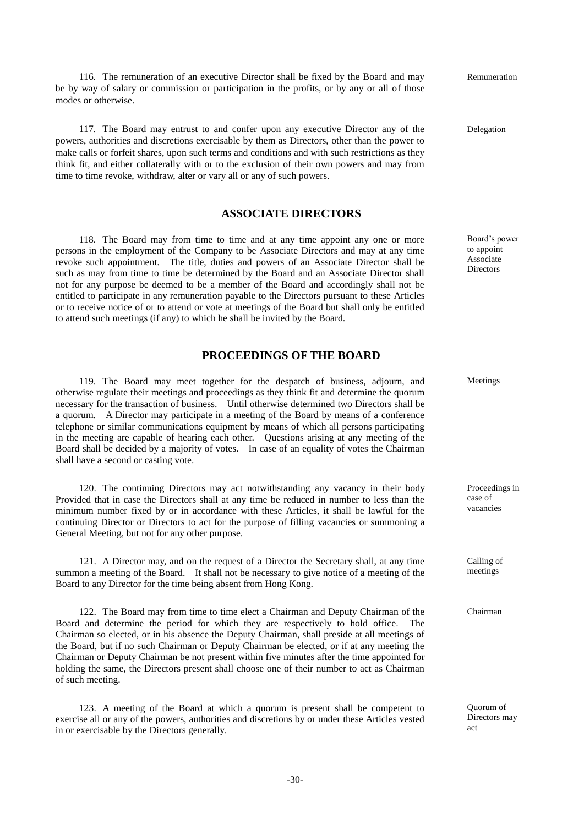116. The remuneration of an executive Director shall be fixed by the Board and may be by way of salary or commission or participation in the profits, or by any or all of those modes or otherwise.

117. The Board may entrust to and confer upon any executive Director any of the powers, authorities and discretions exercisable by them as Directors, other than the power to make calls or forfeit shares, upon such terms and conditions and with such restrictions as they think fit, and either collaterally with or to the exclusion of their own powers and may from time to time revoke, withdraw, alter or vary all or any of such powers.

## **ASSOCIATE DIRECTORS**

118. The Board may from time to time and at any time appoint any one or more persons in the employment of the Company to be Associate Directors and may at any time revoke such appointment. The title, duties and powers of an Associate Director shall be such as may from time to time be determined by the Board and an Associate Director shall not for any purpose be deemed to be a member of the Board and accordingly shall not be entitled to participate in any remuneration payable to the Directors pursuant to these Articles or to receive notice of or to attend or vote at meetings of the Board but shall only be entitled to attend such meetings (if any) to which he shall be invited by the Board.

#### **PROCEEDINGS OF THE BOARD**

119. The Board may meet together for the despatch of business, adjourn, and otherwise regulate their meetings and proceedings as they think fit and determine the quorum necessary for the transaction of business. Until otherwise determined two Directors shall be a quorum. A Director may participate in a meeting of the Board by means of a conference telephone or similar communications equipment by means of which all persons participating in the meeting are capable of hearing each other. Questions arising at any meeting of the Board shall be decided by a majority of votes. In case of an equality of votes the Chairman shall have a second or casting vote.

120. The continuing Directors may act notwithstanding any vacancy in their body Provided that in case the Directors shall at any time be reduced in number to less than the minimum number fixed by or in accordance with these Articles, it shall be lawful for the continuing Director or Directors to act for the purpose of filling vacancies or summoning a General Meeting, but not for any other purpose.

121. A Director may, and on the request of a Director the Secretary shall, at any time summon a meeting of the Board. It shall not be necessary to give notice of a meeting of the Board to any Director for the time being absent from Hong Kong.

122. The Board may from time to time elect a Chairman and Deputy Chairman of the Board and determine the period for which they are respectively to hold office. The Chairman so elected, or in his absence the Deputy Chairman, shall preside at all meetings of the Board, but if no such Chairman or Deputy Chairman be elected, or if at any meeting the Chairman or Deputy Chairman be not present within five minutes after the time appointed for holding the same, the Directors present shall choose one of their number to act as Chairman of such meeting.

123. A meeting of the Board at which a quorum is present shall be competent to exercise all or any of the powers, authorities and discretions by or under these Articles vested in or exercisable by the Directors generally.

Remuneration

Delegation

Board's power to appoint Associate **Directors** 

Meetings

Proceedings in case of vacancies

Calling of meetings

Chairman

Quorum of Directors may act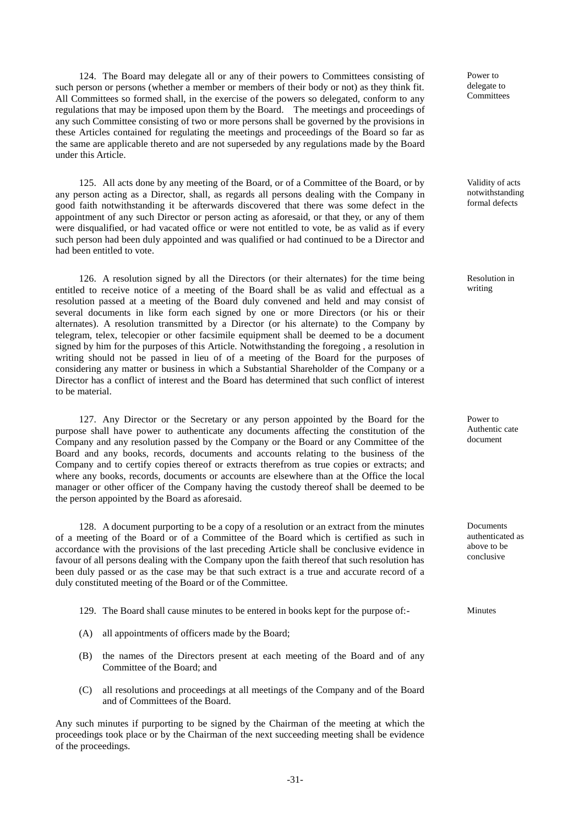124. The Board may delegate all or any of their powers to Committees consisting of such person or persons (whether a member or members of their body or not) as they think fit. All Committees so formed shall, in the exercise of the powers so delegated, conform to any regulations that may be imposed upon them by the Board. The meetings and proceedings of any such Committee consisting of two or more persons shall be governed by the provisions in these Articles contained for regulating the meetings and proceedings of the Board so far as the same are applicable thereto and are not superseded by any regulations made by the Board under this Article.

125. All acts done by any meeting of the Board, or of a Committee of the Board, or by any person acting as a Director, shall, as regards all persons dealing with the Company in good faith notwithstanding it be afterwards discovered that there was some defect in the appointment of any such Director or person acting as aforesaid, or that they, or any of them were disqualified, or had vacated office or were not entitled to vote, be as valid as if every such person had been duly appointed and was qualified or had continued to be a Director and had been entitled to vote.

126. A resolution signed by all the Directors (or their alternates) for the time being entitled to receive notice of a meeting of the Board shall be as valid and effectual as a resolution passed at a meeting of the Board duly convened and held and may consist of several documents in like form each signed by one or more Directors (or his or their alternates). A resolution transmitted by a Director (or his alternate) to the Company by telegram, telex, telecopier or other facsimile equipment shall be deemed to be a document signed by him for the purposes of this Article. Notwithstanding the foregoing , a resolution in writing should not be passed in lieu of of a meeting of the Board for the purposes of considering any matter or business in which a Substantial Shareholder of the Company or a Director has a conflict of interest and the Board has determined that such conflict of interest to be material.

127. Any Director or the Secretary or any person appointed by the Board for the purpose shall have power to authenticate any documents affecting the constitution of the Company and any resolution passed by the Company or the Board or any Committee of the Board and any books, records, documents and accounts relating to the business of the Company and to certify copies thereof or extracts therefrom as true copies or extracts; and where any books, records, documents or accounts are elsewhere than at the Office the local manager or other officer of the Company having the custody thereof shall be deemed to be the person appointed by the Board as aforesaid.

128. A document purporting to be a copy of a resolution or an extract from the minutes of a meeting of the Board or of a Committee of the Board which is certified as such in accordance with the provisions of the last preceding Article shall be conclusive evidence in favour of all persons dealing with the Company upon the faith thereof that such resolution has been duly passed or as the case may be that such extract is a true and accurate record of a duly constituted meeting of the Board or of the Committee.

- 129. The Board shall cause minutes to be entered in books kept for the purpose of:-
- (A) all appointments of officers made by the Board;
- (B) the names of the Directors present at each meeting of the Board and of any Committee of the Board; and
- (C) all resolutions and proceedings at all meetings of the Company and of the Board and of Committees of the Board.

Any such minutes if purporting to be signed by the Chairman of the meeting at which the proceedings took place or by the Chairman of the next succeeding meeting shall be evidence of the proceedings.

Power to delegate to **Committees** 

Validity of acts notwithstanding formal defects

Resolution in writing

Power to Authentic cate document

**Documents** authenticated as above to be conclusive

Minutes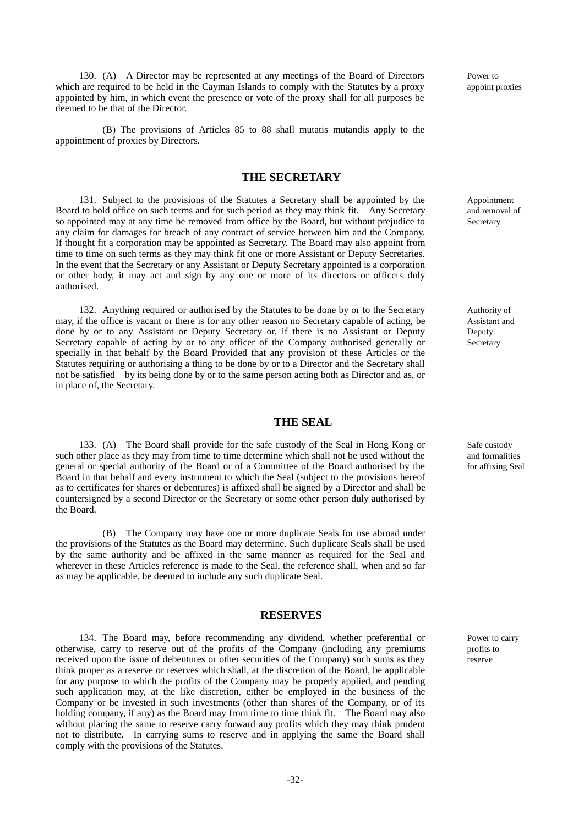130. (A) A Director may be represented at any meetings of the Board of Directors which are required to be held in the Cayman Islands to comply with the Statutes by a proxy appointed by him, in which event the presence or vote of the proxy shall for all purposes be deemed to be that of the Director.

(B) The provisions of Articles 85 to 88 shall mutatis mutandis apply to the appointment of proxies by Directors.

#### **THE SECRETARY**

131. Subject to the provisions of the Statutes a Secretary shall be appointed by the Board to hold office on such terms and for such period as they may think fit. Any Secretary so appointed may at any time be removed from office by the Board, but without prejudice to any claim for damages for breach of any contract of service between him and the Company. If thought fit a corporation may be appointed as Secretary. The Board may also appoint from time to time on such terms as they may think fit one or more Assistant or Deputy Secretaries. In the event that the Secretary or any Assistant or Deputy Secretary appointed is a corporation or other body, it may act and sign by any one or more of its directors or officers duly authorised.

132. Anything required or authorised by the Statutes to be done by or to the Secretary may, if the office is vacant or there is for any other reason no Secretary capable of acting, be done by or to any Assistant or Deputy Secretary or, if there is no Assistant or Deputy Secretary capable of acting by or to any officer of the Company authorised generally or specially in that behalf by the Board Provided that any provision of these Articles or the Statutes requiring or authorising a thing to be done by or to a Director and the Secretary shall not be satisfied by its being done by or to the same person acting both as Director and as, or in place of, the Secretary.

#### **THE SEAL**

133. (A) The Board shall provide for the safe custody of the Seal in Hong Kong or such other place as they may from time to time determine which shall not be used without the general or special authority of the Board or of a Committee of the Board authorised by the Board in that behalf and every instrument to which the Seal (subject to the provisions hereof as to certificates for shares or debentures) is affixed shall be signed by a Director and shall be countersigned by a second Director or the Secretary or some other person duly authorised by the Board.

(B) The Company may have one or more duplicate Seals for use abroad under the provisions of the Statutes as the Board may determine. Such duplicate Seals shall be used by the same authority and be affixed in the same manner as required for the Seal and wherever in these Articles reference is made to the Seal, the reference shall, when and so far as may be applicable, be deemed to include any such duplicate Seal.

#### **RESERVES**

134. The Board may, before recommending any dividend, whether preferential or otherwise, carry to reserve out of the profits of the Company (including any premiums received upon the issue of debentures or other securities of the Company) such sums as they think proper as a reserve or reserves which shall, at the discretion of the Board, be applicable for any purpose to which the profits of the Company may be properly applied, and pending such application may, at the like discretion, either be employed in the business of the Company or be invested in such investments (other than shares of the Company, or of its holding company, if any) as the Board may from time to time think fit. The Board may also without placing the same to reserve carry forward any profits which they may think prudent not to distribute. In carrying sums to reserve and in applying the same the Board shall comply with the provisions of the Statutes.

Power to appoint proxies

Appointment and removal of Secretary

Authority of Assistant and Deputy Secretary

Safe custody and formalities for affixing Seal

Power to carry profits to reserve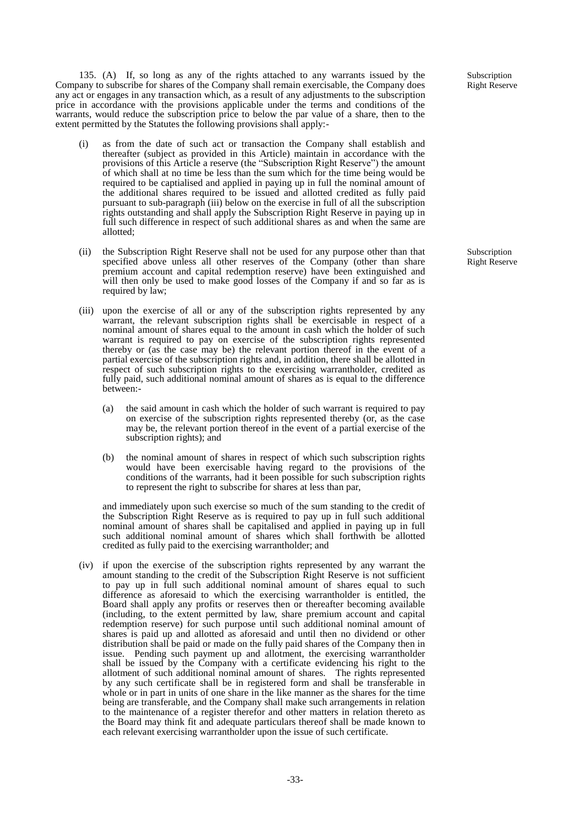135. (A) If, so long as any of the rights attached to any warrants issued by the Company to subscribe for shares of the Company shall remain exercisable, the Company does any act or engages in any transaction which, as a result of any adjustments to the subscription price in accordance with the provisions applicable under the terms and conditions of the warrants, would reduce the subscription price to below the par value of a share, then to the extent permitted by the Statutes the following provisions shall apply:-

- (i) as from the date of such act or transaction the Company shall establish and thereafter (subject as provided in this Article) maintain in accordance with the provisions of this Article a reserve (the "Subscription Right Reserve") the amount of which shall at no time be less than the sum which for the time being would be required to be captialised and applied in paying up in full the nominal amount of the additional shares required to be issued and allotted credited as fully paid pursuant to sub-paragraph (iii) below on the exercise in full of all the subscription rights outstanding and shall apply the Subscription Right Reserve in paying up in full such difference in respect of such additional shares as and when the same are allotted;
- (ii) the Subscription Right Reserve shall not be used for any purpose other than that specified above unless all other reserves of the Company (other than share premium account and capital redemption reserve) have been extinguished and will then only be used to make good losses of the Company if and so far as is required by law;
- (iii) upon the exercise of all or any of the subscription rights represented by any warrant, the relevant subscription rights shall be exercisable in respect of a nominal amount of shares equal to the amount in cash which the holder of such warrant is required to pay on exercise of the subscription rights represented thereby or (as the case may be) the relevant portion thereof in the event of a partial exercise of the subscription rights and, in addition, there shall be allotted in respect of such subscription rights to the exercising warrantholder, credited as fully paid, such additional nominal amount of shares as is equal to the difference between:-
	- (a) the said amount in cash which the holder of such warrant is required to pay on exercise of the subscription rights represented thereby (or, as the case may be, the relevant portion thereof in the event of a partial exercise of the subscription rights); and
	- (b) the nominal amount of shares in respect of which such subscription rights would have been exercisable having regard to the provisions of the conditions of the warrants, had it been possible for such subscription rights to represent the right to subscribe for shares at less than par,

and immediately upon such exercise so much of the sum standing to the credit of the Subscription Right Reserve as is required to pay up in full such additional nominal amount of shares shall be capitalised and applied in paying up in full such additional nominal amount of shares which shall forthwith be allotted credited as fully paid to the exercising warrantholder; and

(iv) if upon the exercise of the subscription rights represented by any warrant the amount standing to the credit of the Subscription Right Reserve is not sufficient to pay up in full such additional nominal amount of shares equal to such difference as aforesaid to which the exercising warrantholder is entitled, the Board shall apply any profits or reserves then or thereafter becoming available (including, to the extent permitted by law, share premium account and capital redemption reserve) for such purpose until such additional nominal amount of shares is paid up and allotted as aforesaid and until then no dividend or other distribution shall be paid or made on the fully paid shares of the Company then in issue. Pending such payment up and allotment, the exercising warrantholder shall be issued by the Company with a certificate evidencing his right to the allotment of such additional nominal amount of shares. The rights represented by any such certificate shall be in registered form and shall be transferable in whole or in part in units of one share in the like manner as the shares for the time being are transferable, and the Company shall make such arrangements in relation to the maintenance of a register therefor and other matters in relation thereto as the Board may think fit and adequate particulars thereof shall be made known to each relevant exercising warrantholder upon the issue of such certificate.

Subscription Right Reserve

Subscription Right Reserve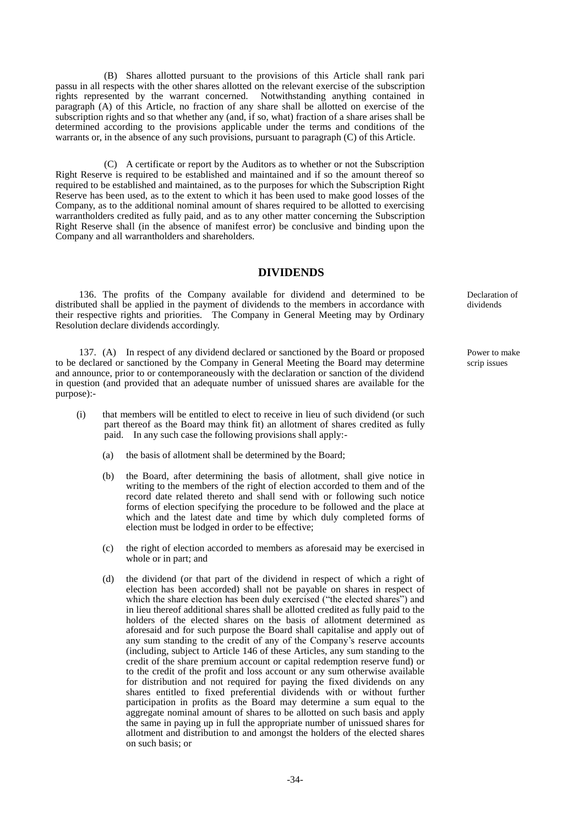(B) Shares allotted pursuant to the provisions of this Article shall rank pari passu in all respects with the other shares allotted on the relevant exercise of the subscription rights represented by the warrant concerned. Notwithstanding anything contained in paragraph (A) of this Article, no fraction of any share shall be allotted on exercise of the subscription rights and so that whether any (and, if so, what) fraction of a share arises shall be determined according to the provisions applicable under the terms and conditions of the warrants or, in the absence of any such provisions, pursuant to paragraph (C) of this Article.

(C) A certificate or report by the Auditors as to whether or not the Subscription Right Reserve is required to be established and maintained and if so the amount thereof so required to be established and maintained, as to the purposes for which the Subscription Right Reserve has been used, as to the extent to which it has been used to make good losses of the Company, as to the additional nominal amount of shares required to be allotted to exercising warrantholders credited as fully paid, and as to any other matter concerning the Subscription Right Reserve shall (in the absence of manifest error) be conclusive and binding upon the Company and all warrantholders and shareholders.

#### **DIVIDENDS**

136. The profits of the Company available for dividend and determined to be distributed shall be applied in the payment of dividends to the members in accordance with their respective rights and priorities. The Company in General Meeting may by Ordinary Resolution declare dividends accordingly.

137. (A) In respect of any dividend declared or sanctioned by the Board or proposed to be declared or sanctioned by the Company in General Meeting the Board may determine and announce, prior to or contemporaneously with the declaration or sanction of the dividend in question (and provided that an adequate number of unissued shares are available for the purpose):-

- (i) that members will be entitled to elect to receive in lieu of such dividend (or such part thereof as the Board may think fit) an allotment of shares credited as fully paid. In any such case the following provisions shall apply:-
	- (a) the basis of allotment shall be determined by the Board;
	- (b) the Board, after determining the basis of allotment, shall give notice in writing to the members of the right of election accorded to them and of the record date related thereto and shall send with or following such notice forms of election specifying the procedure to be followed and the place at which and the latest date and time by which duly completed forms of election must be lodged in order to be effective;
	- (c) the right of election accorded to members as aforesaid may be exercised in whole or in part; and
	- (d) the dividend (or that part of the dividend in respect of which a right of election has been accorded) shall not be payable on shares in respect of which the share election has been duly exercised ("the elected shares") and in lieu thereof additional shares shall be allotted credited as fully paid to the holders of the elected shares on the basis of allotment determined as aforesaid and for such purpose the Board shall capitalise and apply out of any sum standing to the credit of any of the Company's reserve accounts (including, subject to Article 146 of these Articles, any sum standing to the credit of the share premium account or capital redemption reserve fund) or to the credit of the profit and loss account or any sum otherwise available for distribution and not required for paying the fixed dividends on any shares entitled to fixed preferential dividends with or without further participation in profits as the Board may determine a sum equal to the aggregate nominal amount of shares to be allotted on such basis and apply the same in paying up in full the appropriate number of unissued shares for allotment and distribution to and amongst the holders of the elected shares on such basis; or

Declaration of dividends

Power to make scrip issues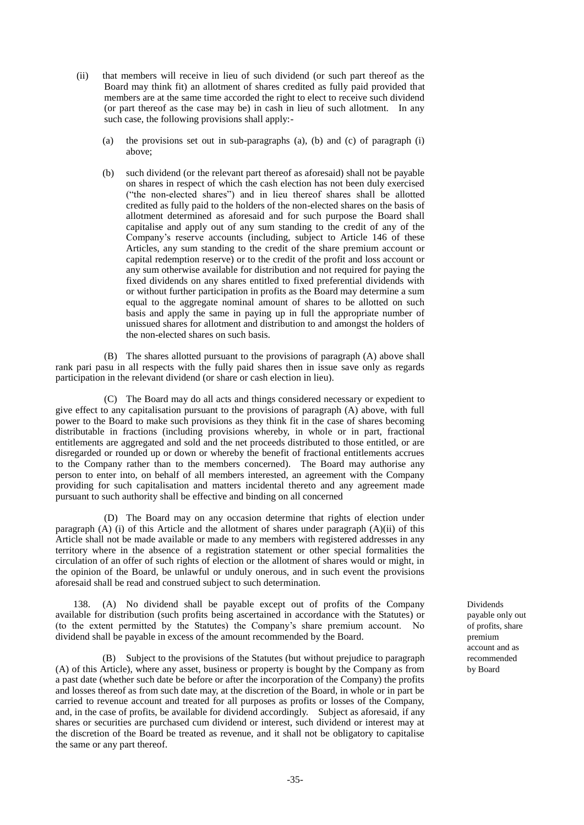- (ii) that members will receive in lieu of such dividend (or such part thereof as the Board may think fit) an allotment of shares credited as fully paid provided that members are at the same time accorded the right to elect to receive such dividend (or part thereof as the case may be) in cash in lieu of such allotment. In any such case, the following provisions shall apply:-
	- (a) the provisions set out in sub-paragraphs (a), (b) and (c) of paragraph (i) above;
	- (b) such dividend (or the relevant part thereof as aforesaid) shall not be payable on shares in respect of which the cash election has not been duly exercised ("the non-elected shares") and in lieu thereof shares shall be allotted credited as fully paid to the holders of the non-elected shares on the basis of allotment determined as aforesaid and for such purpose the Board shall capitalise and apply out of any sum standing to the credit of any of the Company's reserve accounts (including, subject to Article 146 of these Articles, any sum standing to the credit of the share premium account or capital redemption reserve) or to the credit of the profit and loss account or any sum otherwise available for distribution and not required for paying the fixed dividends on any shares entitled to fixed preferential dividends with or without further participation in profits as the Board may determine a sum equal to the aggregate nominal amount of shares to be allotted on such basis and apply the same in paying up in full the appropriate number of unissued shares for allotment and distribution to and amongst the holders of the non-elected shares on such basis.

(B) The shares allotted pursuant to the provisions of paragraph (A) above shall rank pari pasu in all respects with the fully paid shares then in issue save only as regards participation in the relevant dividend (or share or cash election in lieu).

(C) The Board may do all acts and things considered necessary or expedient to give effect to any capitalisation pursuant to the provisions of paragraph (A) above, with full power to the Board to make such provisions as they think fit in the case of shares becoming distributable in fractions (including provisions whereby, in whole or in part, fractional entitlements are aggregated and sold and the net proceeds distributed to those entitled, or are disregarded or rounded up or down or whereby the benefit of fractional entitlements accrues to the Company rather than to the members concerned). The Board may authorise any person to enter into, on behalf of all members interested, an agreement with the Company providing for such capitalisation and matters incidental thereto and any agreement made pursuant to such authority shall be effective and binding on all concerned

(D) The Board may on any occasion determine that rights of election under paragraph (A) (i) of this Article and the allotment of shares under paragraph (A)(ii) of this Article shall not be made available or made to any members with registered addresses in any territory where in the absence of a registration statement or other special formalities the circulation of an offer of such rights of election or the allotment of shares would or might, in the opinion of the Board, be unlawful or unduly onerous, and in such event the provisions aforesaid shall be read and construed subject to such determination.

138. (A) No dividend shall be payable except out of profits of the Company available for distribution (such profits being ascertained in accordance with the Statutes) or (to the extent permitted by the Statutes) the Company's share premium account. No dividend shall be payable in excess of the amount recommended by the Board.

(B) Subject to the provisions of the Statutes (but without prejudice to paragraph (A) of this Article), where any asset, business or property is bought by the Company as from a past date (whether such date be before or after the incorporation of the Company) the profits and losses thereof as from such date may, at the discretion of the Board, in whole or in part be carried to revenue account and treated for all purposes as profits or losses of the Company, and, in the case of profits, be available for dividend accordingly. Subject as aforesaid, if any shares or securities are purchased cum dividend or interest, such dividend or interest may at the discretion of the Board be treated as revenue, and it shall not be obligatory to capitalise the same or any part thereof.

Dividends payable only out of profits, share premium account and as recommended by Board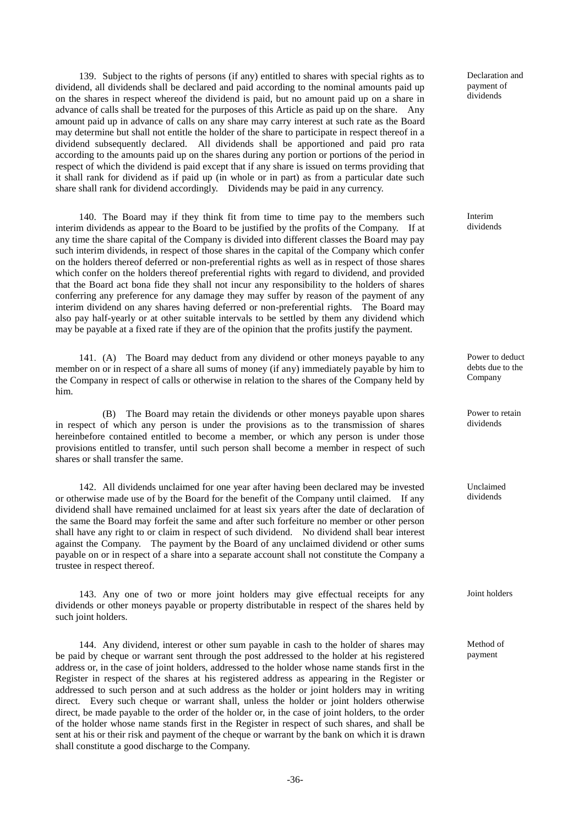139. Subject to the rights of persons (if any) entitled to shares with special rights as to dividend, all dividends shall be declared and paid according to the nominal amounts paid up on the shares in respect whereof the dividend is paid, but no amount paid up on a share in advance of calls shall be treated for the purposes of this Article as paid up on the share. Any amount paid up in advance of calls on any share may carry interest at such rate as the Board may determine but shall not entitle the holder of the share to participate in respect thereof in a dividend subsequently declared. All dividends shall be apportioned and paid pro rata according to the amounts paid up on the shares during any portion or portions of the period in respect of which the dividend is paid except that if any share is issued on terms providing that it shall rank for dividend as if paid up (in whole or in part) as from a particular date such share shall rank for dividend accordingly. Dividends may be paid in any currency.

140. The Board may if they think fit from time to time pay to the members such interim dividends as appear to the Board to be justified by the profits of the Company. If at any time the share capital of the Company is divided into different classes the Board may pay such interim dividends, in respect of those shares in the capital of the Company which confer on the holders thereof deferred or non-preferential rights as well as in respect of those shares which confer on the holders thereof preferential rights with regard to dividend, and provided that the Board act bona fide they shall not incur any responsibility to the holders of shares conferring any preference for any damage they may suffer by reason of the payment of any interim dividend on any shares having deferred or non-preferential rights. The Board may also pay half-yearly or at other suitable intervals to be settled by them any dividend which may be payable at a fixed rate if they are of the opinion that the profits justify the payment.

141. (A) The Board may deduct from any dividend or other moneys payable to any member on or in respect of a share all sums of money (if any) immediately payable by him to the Company in respect of calls or otherwise in relation to the shares of the Company held by him.

(B) The Board may retain the dividends or other moneys payable upon shares in respect of which any person is under the provisions as to the transmission of shares hereinbefore contained entitled to become a member, or which any person is under those provisions entitled to transfer, until such person shall become a member in respect of such shares or shall transfer the same.

142. All dividends unclaimed for one year after having been declared may be invested or otherwise made use of by the Board for the benefit of the Company until claimed. If any dividend shall have remained unclaimed for at least six years after the date of declaration of the same the Board may forfeit the same and after such forfeiture no member or other person shall have any right to or claim in respect of such dividend. No dividend shall bear interest against the Company. The payment by the Board of any unclaimed dividend or other sums payable on or in respect of a share into a separate account shall not constitute the Company a trustee in respect thereof.

143. Any one of two or more joint holders may give effectual receipts for any dividends or other moneys payable or property distributable in respect of the shares held by such joint holders.

144. Any dividend, interest or other sum payable in cash to the holder of shares may be paid by cheque or warrant sent through the post addressed to the holder at his registered address or, in the case of joint holders, addressed to the holder whose name stands first in the Register in respect of the shares at his registered address as appearing in the Register or addressed to such person and at such address as the holder or joint holders may in writing direct. Every such cheque or warrant shall, unless the holder or joint holders otherwise direct, be made payable to the order of the holder or, in the case of joint holders, to the order of the holder whose name stands first in the Register in respect of such shares, and shall be sent at his or their risk and payment of the cheque or warrant by the bank on which it is drawn shall constitute a good discharge to the Company.

Declaration and payment of dividends

Interim dividends

Power to deduct debts due to the Company

Power to retain dividends

Unclaimed dividends

Joint holders

Method of payment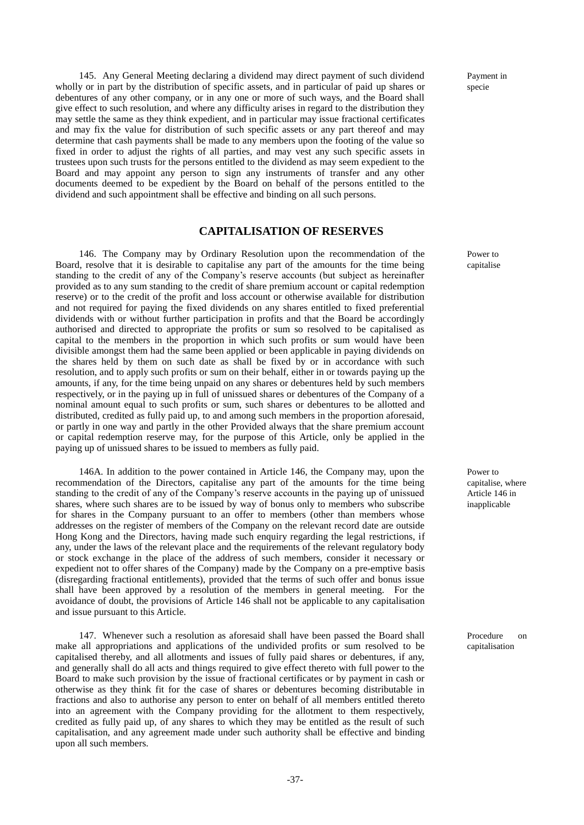145. Any General Meeting declaring a dividend may direct payment of such dividend wholly or in part by the distribution of specific assets, and in particular of paid up shares or debentures of any other company, or in any one or more of such ways, and the Board shall give effect to such resolution, and where any difficulty arises in regard to the distribution they may settle the same as they think expedient, and in particular may issue fractional certificates and may fix the value for distribution of such specific assets or any part thereof and may determine that cash payments shall be made to any members upon the footing of the value so fixed in order to adjust the rights of all parties, and may vest any such specific assets in trustees upon such trusts for the persons entitled to the dividend as may seem expedient to the Board and may appoint any person to sign any instruments of transfer and any other documents deemed to be expedient by the Board on behalf of the persons entitled to the dividend and such appointment shall be effective and binding on all such persons.

#### **CAPITALISATION OF RESERVES**

146. The Company may by Ordinary Resolution upon the recommendation of the Board, resolve that it is desirable to capitalise any part of the amounts for the time being standing to the credit of any of the Company's reserve accounts (but subject as hereinafter provided as to any sum standing to the credit of share premium account or capital redemption reserve) or to the credit of the profit and loss account or otherwise available for distribution and not required for paying the fixed dividends on any shares entitled to fixed preferential dividends with or without further participation in profits and that the Board be accordingly authorised and directed to appropriate the profits or sum so resolved to be capitalised as capital to the members in the proportion in which such profits or sum would have been divisible amongst them had the same been applied or been applicable in paying dividends on the shares held by them on such date as shall be fixed by or in accordance with such resolution, and to apply such profits or sum on their behalf, either in or towards paying up the amounts, if any, for the time being unpaid on any shares or debentures held by such members respectively, or in the paying up in full of unissued shares or debentures of the Company of a nominal amount equal to such profits or sum, such shares or debentures to be allotted and distributed, credited as fully paid up, to and among such members in the proportion aforesaid, or partly in one way and partly in the other Provided always that the share premium account or capital redemption reserve may, for the purpose of this Article, only be applied in the paying up of unissued shares to be issued to members as fully paid.

146A. In addition to the power contained in Article 146, the Company may, upon the recommendation of the Directors, capitalise any part of the amounts for the time being standing to the credit of any of the Company's reserve accounts in the paying up of unissued shares, where such shares are to be issued by way of bonus only to members who subscribe for shares in the Company pursuant to an offer to members (other than members whose addresses on the register of members of the Company on the relevant record date are outside Hong Kong and the Directors, having made such enquiry regarding the legal restrictions, if any, under the laws of the relevant place and the requirements of the relevant regulatory body or stock exchange in the place of the address of such members, consider it necessary or expedient not to offer shares of the Company) made by the Company on a pre-emptive basis (disregarding fractional entitlements), provided that the terms of such offer and bonus issue shall have been approved by a resolution of the members in general meeting. For the avoidance of doubt, the provisions of Article 146 shall not be applicable to any capitalisation and issue pursuant to this Article.

147. Whenever such a resolution as aforesaid shall have been passed the Board shall make all appropriations and applications of the undivided profits or sum resolved to be capitalised thereby, and all allotments and issues of fully paid shares or debentures, if any, and generally shall do all acts and things required to give effect thereto with full power to the Board to make such provision by the issue of fractional certificates or by payment in cash or otherwise as they think fit for the case of shares or debentures becoming distributable in fractions and also to authorise any person to enter on behalf of all members entitled thereto into an agreement with the Company providing for the allotment to them respectively, credited as fully paid up, of any shares to which they may be entitled as the result of such capitalisation, and any agreement made under such authority shall be effective and binding upon all such members.

Payment in specie

Power to capitalise

Power to capitalise, where Article 146 in inapplicable

Procedure on capitalisation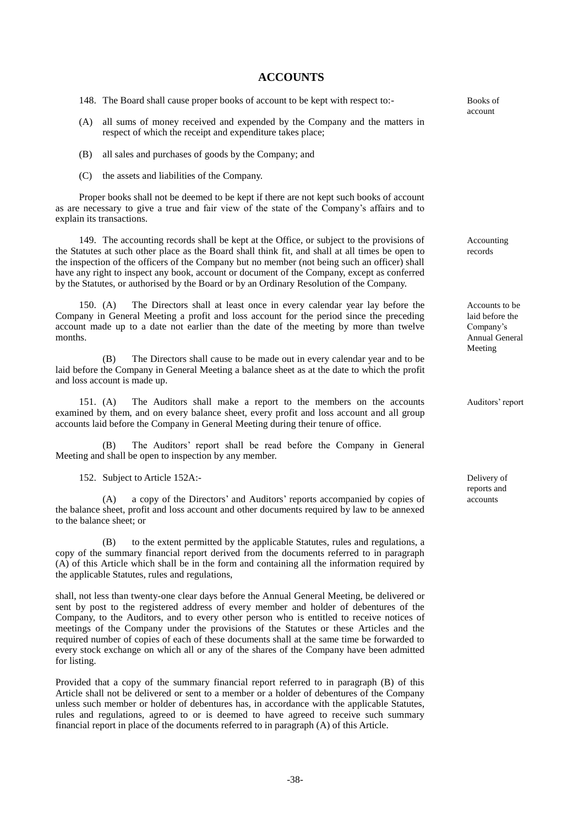#### **ACCOUNTS**

|                                                                                                                                                                                                                                                                                                                                                                                                                                                                                                                   | 148. The Board shall cause proper books of account to be kept with respect to:-<br>Books of<br>account                                                                                                                                             |                                                                             |  |
|-------------------------------------------------------------------------------------------------------------------------------------------------------------------------------------------------------------------------------------------------------------------------------------------------------------------------------------------------------------------------------------------------------------------------------------------------------------------------------------------------------------------|----------------------------------------------------------------------------------------------------------------------------------------------------------------------------------------------------------------------------------------------------|-----------------------------------------------------------------------------|--|
| (A)                                                                                                                                                                                                                                                                                                                                                                                                                                                                                                               | all sums of money received and expended by the Company and the matters in<br>respect of which the receipt and expenditure takes place;                                                                                                             |                                                                             |  |
| (B)                                                                                                                                                                                                                                                                                                                                                                                                                                                                                                               | all sales and purchases of goods by the Company; and                                                                                                                                                                                               |                                                                             |  |
| (C)                                                                                                                                                                                                                                                                                                                                                                                                                                                                                                               | the assets and liabilities of the Company.                                                                                                                                                                                                         |                                                                             |  |
| Proper books shall not be deemed to be kept if there are not kept such books of account<br>as are necessary to give a true and fair view of the state of the Company's affairs and to<br>explain its transactions.                                                                                                                                                                                                                                                                                                |                                                                                                                                                                                                                                                    |                                                                             |  |
| 149. The accounting records shall be kept at the Office, or subject to the provisions of<br>Accounting<br>the Statutes at such other place as the Board shall think fit, and shall at all times be open to<br>records<br>the inspection of the officers of the Company but no member (not being such an officer) shall<br>have any right to inspect any book, account or document of the Company, except as conferred<br>by the Statutes, or authorised by the Board or by an Ordinary Resolution of the Company. |                                                                                                                                                                                                                                                    |                                                                             |  |
| 150. $(A)$<br>The Directors shall at least once in every calendar year lay before the<br>Company in General Meeting a profit and loss account for the period since the preceding<br>account made up to a date not earlier than the date of the meeting by more than twelve<br>months.                                                                                                                                                                                                                             |                                                                                                                                                                                                                                                    | Accounts to be<br>laid before the<br>Company's<br>Annual General<br>Meeting |  |
|                                                                                                                                                                                                                                                                                                                                                                                                                                                                                                                   | The Directors shall cause to be made out in every calendar year and to be<br>(B)<br>laid before the Company in General Meeting a balance sheet as at the date to which the profit<br>and loss account is made up.                                  |                                                                             |  |
| 151. $(A)$                                                                                                                                                                                                                                                                                                                                                                                                                                                                                                        | The Auditors shall make a report to the members on the accounts<br>examined by them, and on every balance sheet, every profit and loss account and all group<br>accounts laid before the Company in General Meeting during their tenure of office. | Auditors' report                                                            |  |
|                                                                                                                                                                                                                                                                                                                                                                                                                                                                                                                   | The Auditors' report shall be read before the Company in General<br>(B)<br>Meeting and shall be open to inspection by any member.                                                                                                                  |                                                                             |  |

Delivery of reports and accounts

152. Subject to Article 152A:-

(A) a copy of the Directors' and Auditors' reports accompanied by copies of the balance sheet, profit and loss account and other documents required by law to be annexed to the balance sheet; or

(B) to the extent permitted by the applicable Statutes, rules and regulations, a copy of the summary financial report derived from the documents referred to in paragraph (A) of this Article which shall be in the form and containing all the information required by the applicable Statutes, rules and regulations,

shall, not less than twenty-one clear days before the Annual General Meeting, be delivered or sent by post to the registered address of every member and holder of debentures of the Company, to the Auditors, and to every other person who is entitled to receive notices of meetings of the Company under the provisions of the Statutes or these Articles and the required number of copies of each of these documents shall at the same time be forwarded to every stock exchange on which all or any of the shares of the Company have been admitted for listing.

Provided that a copy of the summary financial report referred to in paragraph (B) of this Article shall not be delivered or sent to a member or a holder of debentures of the Company unless such member or holder of debentures has, in accordance with the applicable Statutes, rules and regulations, agreed to or is deemed to have agreed to receive such summary financial report in place of the documents referred to in paragraph (A) of this Article.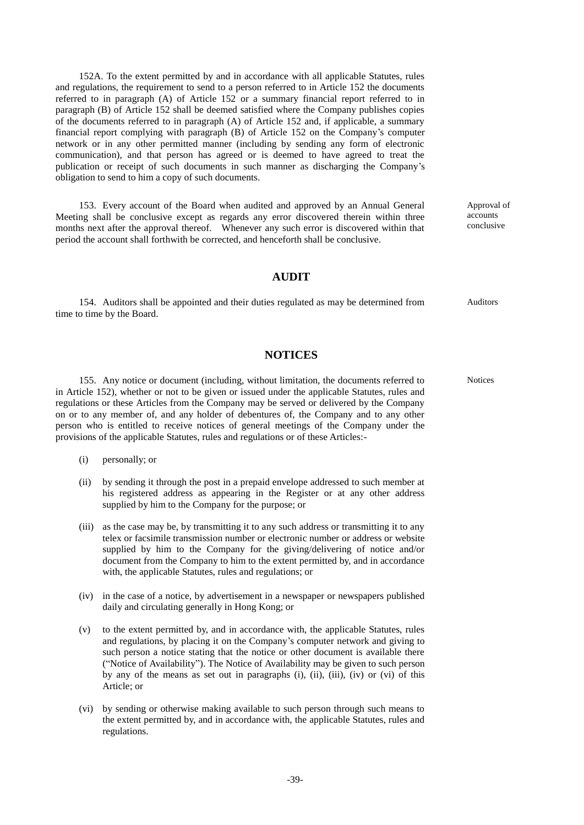152A. To the extent permitted by and in accordance with all applicable Statutes, rules and regulations, the requirement to send to a person referred to in Article 152 the documents referred to in paragraph (A) of Article 152 or a summary financial report referred to in paragraph (B) of Article 152 shall be deemed satisfied where the Company publishes copies of the documents referred to in paragraph (A) of Article 152 and, if applicable, a summary financial report complying with paragraph (B) of Article 152 on the Company's computer network or in any other permitted manner (including by sending any form of electronic communication), and that person has agreed or is deemed to have agreed to treat the publication or receipt of such documents in such manner as discharging the Company's obligation to send to him a copy of such documents.

153. Every account of the Board when audited and approved by an Annual General Meeting shall be conclusive except as regards any error discovered therein within three months next after the approval thereof. Whenever any such error is discovered within that period the account shall forthwith be corrected, and henceforth shall be conclusive.

**AUDIT**

154. Auditors shall be appointed and their duties regulated as may be determined from time to time by the Board.

## **NOTICES**

155. Any notice or document (including, without limitation, the documents referred to in Article 152), whether or not to be given or issued under the applicable Statutes, rules and regulations or these Articles from the Company may be served or delivered by the Company on or to any member of, and any holder of debentures of, the Company and to any other person who is entitled to receive notices of general meetings of the Company under the provisions of the applicable Statutes, rules and regulations or of these Articles:-

- (i) personally; or
- (ii) by sending it through the post in a prepaid envelope addressed to such member at his registered address as appearing in the Register or at any other address supplied by him to the Company for the purpose; or
- (iii) as the case may be, by transmitting it to any such address or transmitting it to any telex or facsimile transmission number or electronic number or address or website supplied by him to the Company for the giving/delivering of notice and/or document from the Company to him to the extent permitted by, and in accordance with, the applicable Statutes, rules and regulations; or
- (iv) in the case of a notice, by advertisement in a newspaper or newspapers published daily and circulating generally in Hong Kong; or
- (v) to the extent permitted by, and in accordance with, the applicable Statutes, rules and regulations, by placing it on the Company's computer network and giving to such person a notice stating that the notice or other document is available there ("Notice of Availability"). The Notice of Availability may be given to such person by any of the means as set out in paragraphs (i), (ii), (iii), (iv) or (vi) of this Article; or
- (vi) by sending or otherwise making available to such person through such means to the extent permitted by, and in accordance with, the applicable Statutes, rules and regulations.

Approval of accounts conclusive

Auditors

Notices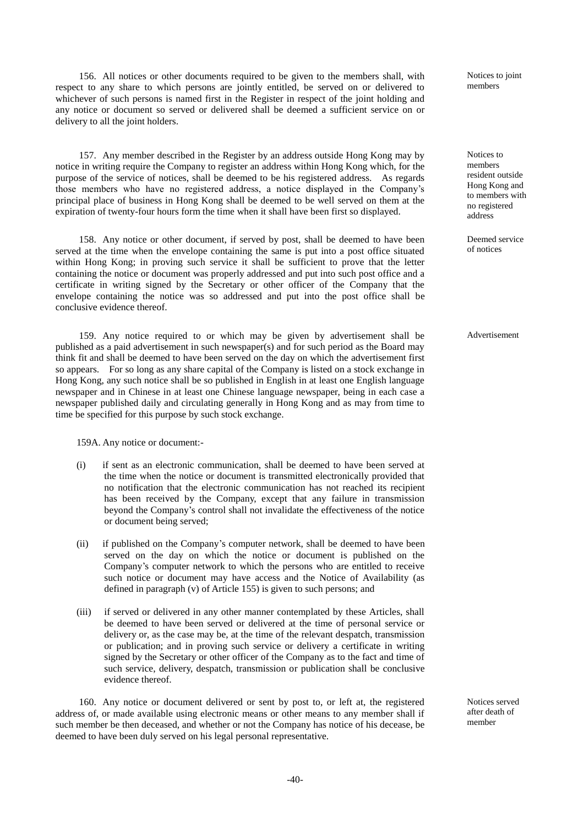156. All notices or other documents required to be given to the members shall, with respect to any share to which persons are jointly entitled, be served on or delivered to whichever of such persons is named first in the Register in respect of the joint holding and any notice or document so served or delivered shall be deemed a sufficient service on or delivery to all the joint holders.

157. Any member described in the Register by an address outside Hong Kong may by notice in writing require the Company to register an address within Hong Kong which, for the purpose of the service of notices, shall be deemed to be his registered address. As regards those members who have no registered address, a notice displayed in the Company's principal place of business in Hong Kong shall be deemed to be well served on them at the expiration of twenty-four hours form the time when it shall have been first so displayed.

158. Any notice or other document, if served by post, shall be deemed to have been served at the time when the envelope containing the same is put into a post office situated within Hong Kong; in proving such service it shall be sufficient to prove that the letter containing the notice or document was properly addressed and put into such post office and a certificate in writing signed by the Secretary or other officer of the Company that the envelope containing the notice was so addressed and put into the post office shall be conclusive evidence thereof.

159. Any notice required to or which may be given by advertisement shall be published as a paid advertisement in such newspaper(s) and for such period as the Board may think fit and shall be deemed to have been served on the day on which the advertisement first so appears. For so long as any share capital of the Company is listed on a stock exchange in Hong Kong, any such notice shall be so published in English in at least one English language newspaper and in Chinese in at least one Chinese language newspaper, being in each case a newspaper published daily and circulating generally in Hong Kong and as may from time to time be specified for this purpose by such stock exchange.

159A. Any notice or document:-

- (i) if sent as an electronic communication, shall be deemed to have been served at the time when the notice or document is transmitted electronically provided that no notification that the electronic communication has not reached its recipient has been received by the Company, except that any failure in transmission beyond the Company's control shall not invalidate the effectiveness of the notice or document being served;
- (ii) if published on the Company's computer network, shall be deemed to have been served on the day on which the notice or document is published on the Company's computer network to which the persons who are entitled to receive such notice or document may have access and the Notice of Availability (as defined in paragraph (v) of Article 155) is given to such persons; and
- (iii) if served or delivered in any other manner contemplated by these Articles, shall be deemed to have been served or delivered at the time of personal service or delivery or, as the case may be, at the time of the relevant despatch, transmission or publication; and in proving such service or delivery a certificate in writing signed by the Secretary or other officer of the Company as to the fact and time of such service, delivery, despatch, transmission or publication shall be conclusive evidence thereof.

160. Any notice or document delivered or sent by post to, or left at, the registered address of, or made available using electronic means or other means to any member shall if such member be then deceased, and whether or not the Company has notice of his decease, be deemed to have been duly served on his legal personal representative.

Notices to joint members

Notices to members resident outside Hong Kong and to members with no registered address

Deemed service of notices

Advertisement

Notices served after death of member